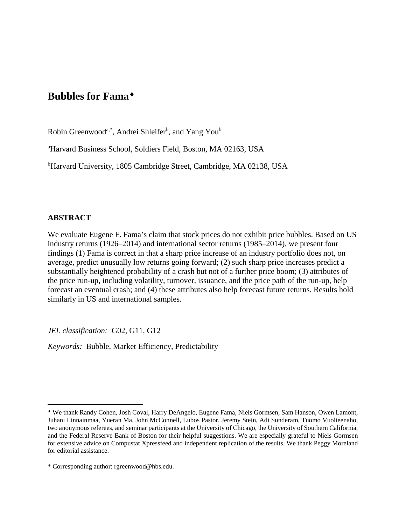# **Bubbles for Fama**[♦](#page-0-0)

Robin Greenwood<sup>a,\*</sup>, Andrei Shleifer<sup>b</sup>, and Yang You<sup>b</sup>

a Harvard Business School, Soldiers Field, Boston, MA 02163, USA

<sup>b</sup>Harvard University, 1805 Cambridge Street, Cambridge, MA 02138, USA

### **ABSTRACT**

l

We evaluate Eugene F. Fama's claim that stock prices do not exhibit price bubbles. Based on US industry returns  $(1926-2014)$  and international sector returns  $(1985-2014)$ , we present four findings (1) Fama is correct in that a sharp price increase of an industry portfolio does not, on average, predict unusually low returns going forward; (2) such sharp price increases predict a substantially heightened probability of a crash but not of a further price boom; (3) attributes of the price run-up, including volatility, turnover, issuance, and the price path of the run-up, help forecast an eventual crash; and (4) these attributes also help forecast future returns. Results hold similarly in US and international samples.

*JEL classification:* G02, G11, G12

*Keywords:* Bubble, Market Efficiency, Predictability

<span id="page-0-0"></span><sup>♦</sup> We thank Randy Cohen, Josh Coval, Harry DeAngelo, Eugene Fama, Niels Gormsen, Sam Hanson, Owen Lamont, Juhani Linnainmaa, Yueran Ma, John McConnell, Lubos Pastor, Jeremy Stein, Adi Sunderam, Tuomo Vuolteenaho, two anonymous referees, and seminar participants at the University of Chicago, the University of Southern California, and the Federal Reserve Bank of Boston for their helpful suggestions. We are especially grateful to Niels Gormsen for extensive advice on Compustat Xpressfeed and independent replication of the results. We thank Peggy Moreland for editorial assistance.

<sup>\*</sup> Corresponding author: rgreenwood@hbs.edu.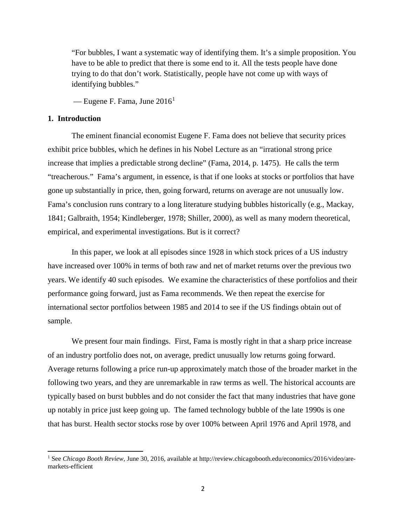"For bubbles, I want a systematic way of identifying them. It's a simple proposition. You have to be able to predict that there is some end to it. All the tests people have done trying to do that don't work. Statistically, people have not come up with ways of identifying bubbles."

— Eugene F. Fama, June  $2016<sup>1</sup>$  $2016<sup>1</sup>$  $2016<sup>1</sup>$ 

### **1. Introduction**

l

The eminent financial economist Eugene F. Fama does not believe that security prices exhibit price bubbles, which he defines in his Nobel Lecture as an "irrational strong price increase that implies a predictable strong decline" (Fama, 2014, p. 1475). He calls the term "treacherous." Fama's argument, in essence, is that if one looks at stocks or portfolios that have gone up substantially in price, then, going forward, returns on average are not unusually low. Fama's conclusion runs contrary to a long literature studying bubbles historically (e.g., Mackay, 1841; Galbraith, 1954; Kindleberger, 1978; Shiller, 2000), as well as many modern theoretical, empirical, and experimental investigations. But is it correct?

In this paper, we look at all episodes since 1928 in which stock prices of a US industry have increased over 100% in terms of both raw and net of market returns over the previous two years. We identify 40 such episodes. We examine the characteristics of these portfolios and their performance going forward, just as Fama recommends. We then repeat the exercise for international sector portfolios between 1985 and 2014 to see if the US findings obtain out of sample.

We present four main findings. First, Fama is mostly right in that a sharp price increase of an industry portfolio does not, on average, predict unusually low returns going forward. Average returns following a price run-up approximately match those of the broader market in the following two years, and they are unremarkable in raw terms as well. The historical accounts are typically based on burst bubbles and do not consider the fact that many industries that have gone up notably in price just keep going up. The famed technology bubble of the late 1990s is one that has burst. Health sector stocks rose by over 100% between April 1976 and April 1978, and

<span id="page-1-0"></span><sup>1</sup> See *Chicago Booth Review*, June 30, 2016, available at http://review.chicagobooth.edu/economics/2016/video/aremarkets-efficient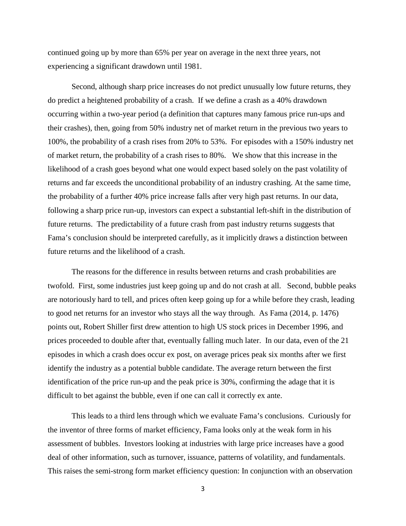continued going up by more than 65% per year on average in the next three years, not experiencing a significant drawdown until 1981.

Second, although sharp price increases do not predict unusually low future returns, they do predict a heightened probability of a crash. If we define a crash as a 40% drawdown occurring within a two-year period (a definition that captures many famous price run-ups and their crashes), then, going from 50% industry net of market return in the previous two years to 100%, the probability of a crash rises from 20% to 53%. For episodes with a 150% industry net of market return, the probability of a crash rises to 80%. We show that this increase in the likelihood of a crash goes beyond what one would expect based solely on the past volatility of returns and far exceeds the unconditional probability of an industry crashing. At the same time, the probability of a further 40% price increase falls after very high past returns. In our data, following a sharp price run-up, investors can expect a substantial left-shift in the distribution of future returns. The predictability of a future crash from past industry returns suggests that Fama's conclusion should be interpreted carefully, as it implicitly draws a distinction between future returns and the likelihood of a crash.

The reasons for the difference in results between returns and crash probabilities are twofold. First, some industries just keep going up and do not crash at all. Second, bubble peaks are notoriously hard to tell, and prices often keep going up for a while before they crash, leading to good net returns for an investor who stays all the way through. As Fama (2014, p. 1476) points out, Robert Shiller first drew attention to high US stock prices in December 1996, and prices proceeded to double after that, eventually falling much later. In our data, even of the 21 episodes in which a crash does occur ex post, on average prices peak six months after we first identify the industry as a potential bubble candidate. The average return between the first identification of the price run-up and the peak price is 30%, confirming the adage that it is difficult to bet against the bubble, even if one can call it correctly ex ante.

This leads to a third lens through which we evaluate Fama's conclusions. Curiously for the inventor of three forms of market efficiency, Fama looks only at the weak form in his assessment of bubbles. Investors looking at industries with large price increases have a good deal of other information, such as turnover, issuance, patterns of volatility, and fundamentals. This raises the semi-strong form market efficiency question: In conjunction with an observation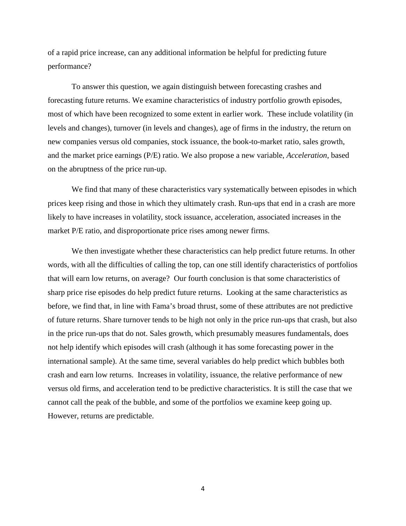of a rapid price increase, can any additional information be helpful for predicting future performance?

To answer this question, we again distinguish between forecasting crashes and forecasting future returns. We examine characteristics of industry portfolio growth episodes, most of which have been recognized to some extent in earlier work. These include volatility (in levels and changes), turnover (in levels and changes), age of firms in the industry, the return on new companies versus old companies, stock issuance, the book-to-market ratio, sales growth, and the market price earnings (P/E) ratio. We also propose a new variable, *Acceleration*, based on the abruptness of the price run-up.

We find that many of these characteristics vary systematically between episodes in which prices keep rising and those in which they ultimately crash. Run-ups that end in a crash are more likely to have increases in volatility, stock issuance, acceleration, associated increases in the market P/E ratio, and disproportionate price rises among newer firms.

We then investigate whether these characteristics can help predict future returns. In other words, with all the difficulties of calling the top, can one still identify characteristics of portfolios that will earn low returns, on average? Our fourth conclusion is that some characteristics of sharp price rise episodes do help predict future returns. Looking at the same characteristics as before, we find that, in line with Fama's broad thrust, some of these attributes are not predictive of future returns. Share turnover tends to be high not only in the price run-ups that crash, but also in the price run-ups that do not. Sales growth, which presumably measures fundamentals, does not help identify which episodes will crash (although it has some forecasting power in the international sample). At the same time, several variables do help predict which bubbles both crash and earn low returns. Increases in volatility, issuance, the relative performance of new versus old firms, and acceleration tend to be predictive characteristics. It is still the case that we cannot call the peak of the bubble, and some of the portfolios we examine keep going up. However, returns are predictable.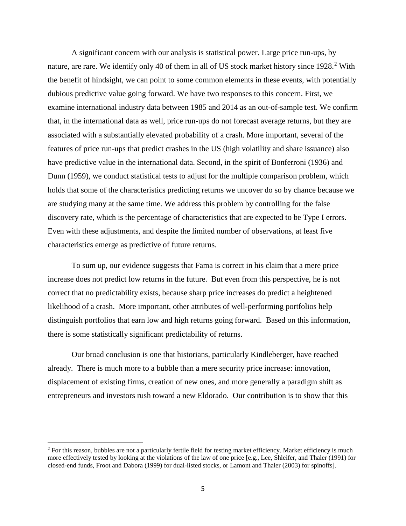A significant concern with our analysis is statistical power. Large price run-ups, by nature, are rare. We identify only 40 of them in all of US stock market history since 19[2](#page-4-0)8.<sup>2</sup> With the benefit of hindsight, we can point to some common elements in these events, with potentially dubious predictive value going forward. We have two responses to this concern. First, we examine international industry data between 1985 and 2014 as an out-of-sample test. We confirm that, in the international data as well, price run-ups do not forecast average returns, but they are associated with a substantially elevated probability of a crash. More important, several of the features of price run-ups that predict crashes in the US (high volatility and share issuance) also have predictive value in the international data. Second, in the spirit of Bonferroni (1936) and Dunn (1959), we conduct statistical tests to adjust for the multiple comparison problem, which holds that some of the characteristics predicting returns we uncover do so by chance because we are studying many at the same time. We address this problem by controlling for the false discovery rate, which is the percentage of characteristics that are expected to be Type I errors. Even with these adjustments, and despite the limited number of observations, at least five characteristics emerge as predictive of future returns.

To sum up, our evidence suggests that Fama is correct in his claim that a mere price increase does not predict low returns in the future. But even from this perspective, he is not correct that no predictability exists, because sharp price increases do predict a heightened likelihood of a crash. More important, other attributes of well-performing portfolios help distinguish portfolios that earn low and high returns going forward. Based on this information, there is some statistically significant predictability of returns.

Our broad conclusion is one that historians, particularly Kindleberger, have reached already. There is much more to a bubble than a mere security price increase: innovation, displacement of existing firms, creation of new ones, and more generally a paradigm shift as entrepreneurs and investors rush toward a new Eldorado. Our contribution is to show that this

l

<span id="page-4-0"></span> $2$  For this reason, bubbles are not a particularly fertile field for testing market efficiency. Market efficiency is much more effectively tested by looking at the violations of the law of one price [e.g., Lee, Shleifer, and Thaler (1991) for closed-end funds, Froot and Dabora (1999) for dual-listed stocks, or Lamont and Thaler (2003) for spinoffs].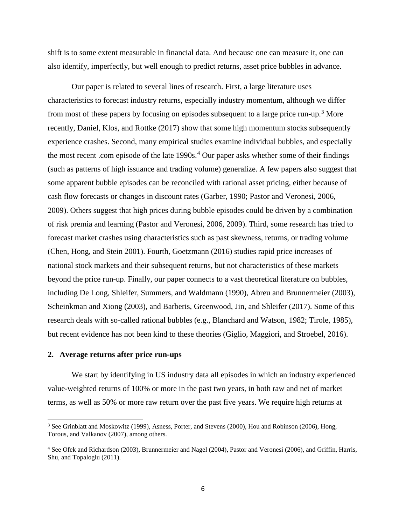shift is to some extent measurable in financial data. And because one can measure it, one can also identify, imperfectly, but well enough to predict returns, asset price bubbles in advance.

Our paper is related to several lines of research. First, a large literature uses characteristics to forecast industry returns, especially industry momentum, although we differ from most of these papers by focusing on episodes subsequent to a large price run-up.<sup>[3](#page-5-0)</sup> More recently, Daniel, Klos, and Rottke (2017) show that some high momentum stocks subsequently experience crashes. Second, many empirical studies examine individual bubbles, and especially the most recent .com episode of the late 1990s.<sup>[4](#page-5-1)</sup> Our paper asks whether some of their findings (such as patterns of high issuance and trading volume) generalize. A few papers also suggest that some apparent bubble episodes can be reconciled with rational asset pricing, either because of cash flow forecasts or changes in discount rates (Garber, 1990; Pastor and Veronesi, 2006, 2009). Others suggest that high prices during bubble episodes could be driven by a combination of risk premia and learning (Pastor and Veronesi, 2006, 2009). Third, some research has tried to forecast market crashes using characteristics such as past skewness, returns, or trading volume (Chen, Hong, and Stein 2001). Fourth, Goetzmann (2016) studies rapid price increases of national stock markets and their subsequent returns, but not characteristics of these markets beyond the price run-up. Finally, our paper connects to a vast theoretical literature on bubbles, including De Long, Shleifer, Summers, and Waldmann (1990), Abreu and Brunnermeier (2003), Scheinkman and Xiong (2003), and Barberis, Greenwood, Jin, and Shleifer (2017). Some of this research deals with so-called rational bubbles (e.g., Blanchard and Watson, 1982; Tirole, 1985), but recent evidence has not been kind to these theories (Giglio, Maggiori, and Stroebel, 2016).

#### **2. Average returns after price run-ups**

l

We start by identifying in US industry data all episodes in which an industry experienced value-weighted returns of 100% or more in the past two years, in both raw and net of market terms, as well as 50% or more raw return over the past five years. We require high returns at

<span id="page-5-0"></span><sup>&</sup>lt;sup>3</sup> See Grinblatt and Moskowitz (1999), Asness, Porter, and Stevens (2000), Hou and Robinson (2006), Hong, Torous, and Valkanov (2007), among others.

<span id="page-5-1"></span><sup>&</sup>lt;sup>4</sup> See Ofek and Richardson (2003), Brunnermeier and Nagel (2004), Pastor and Veronesi (2006), and Griffin, Harris, Shu, and Topaloglu (2011).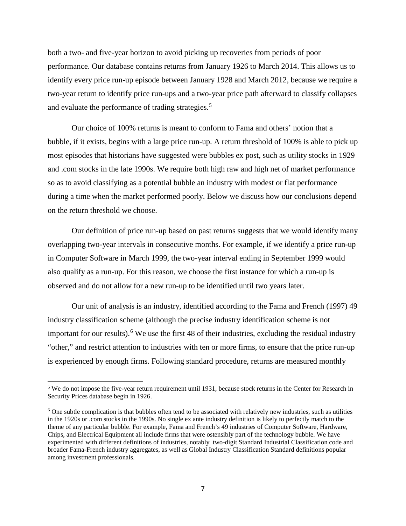both a two- and five-year horizon to avoid picking up recoveries from periods of poor performance. Our database contains returns from January 1926 to March 2014. This allows us to identify every price run-up episode between January 1928 and March 2012, because we require a two-year return to identify price run-ups and a two-year price path afterward to classify collapses and evaluate the performance of trading strategies. [5](#page-6-0)

Our choice of 100% returns is meant to conform to Fama and others' notion that a bubble, if it exists, begins with a large price run-up. A return threshold of 100% is able to pick up most episodes that historians have suggested were bubbles ex post, such as utility stocks in 1929 and .com stocks in the late 1990s. We require both high raw and high net of market performance so as to avoid classifying as a potential bubble an industry with modest or flat performance during a time when the market performed poorly. Below we discuss how our conclusions depend on the return threshold we choose.

Our definition of price run-up based on past returns suggests that we would identify many overlapping two-year intervals in consecutive months. For example, if we identify a price run-up in Computer Software in March 1999, the two-year interval ending in September 1999 would also qualify as a run-up. For this reason, we choose the first instance for which a run-up is observed and do not allow for a new run-up to be identified until two years later.

Our unit of analysis is an industry, identified according to the Fama and French (1997) 49 industry classification scheme (although the precise industry identification scheme is not important for our results). [6](#page-6-1) We use the first 48 of their industries, excluding the residual industry "other," and restrict attention to industries with ten or more firms, to ensure that the price run-up is experienced by enough firms. Following standard procedure, returns are measured monthly

l

<span id="page-6-0"></span><sup>&</sup>lt;sup>5</sup> We do not impose the five-year return requirement until 1931, because stock returns in the Center for Research in Security Prices database begin in 1926.

<span id="page-6-1"></span><sup>6</sup> One subtle complication is that bubbles often tend to be associated with relatively new industries, such as utilities in the 1920s or .com stocks in the 1990s. No single ex ante industry definition is likely to perfectly match to the theme of any particular bubble. For example, Fama and French's 49 industries of Computer Software, Hardware, Chips, and Electrical Equipment all include firms that were ostensibly part of the technology bubble. We have experimented with different definitions of industries, notably two-digit Standard Industrial Classification code and broader Fama-French industry aggregates, as well as Global Industry Classification Standard definitions popular among investment professionals.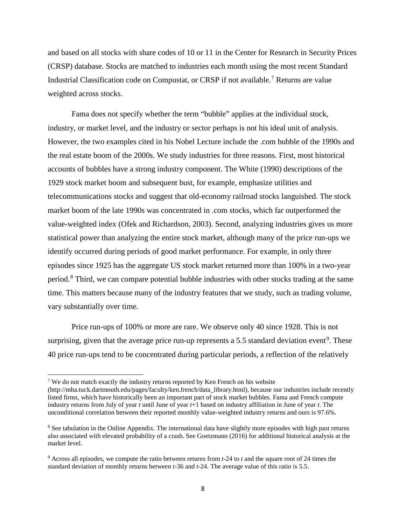and based on all stocks with share codes of 10 or 11 in the Center for Research in Security Prices (CRSP) database. Stocks are matched to industries each month using the most recent Standard Industrial Classification code on Compustat, or CRSP if not available.[7](#page-7-0) Returns are value weighted across stocks.

Fama does not specify whether the term "bubble" applies at the individual stock, industry, or market level, and the industry or sector perhaps is not his ideal unit of analysis. However, the two examples cited in his Nobel Lecture include the .com bubble of the 1990s and the real estate boom of the 2000s. We study industries for three reasons. First, most historical accounts of bubbles have a strong industry component. The White (1990) descriptions of the 1929 stock market boom and subsequent bust, for example, emphasize utilities and telecommunications stocks and suggest that old-economy railroad stocks languished. The stock market boom of the late 1990s was concentrated in .com stocks, which far outperformed the value-weighted index (Ofek and Richardson, 2003). Second, analyzing industries gives us more statistical power than analyzing the entire stock market, although many of the price run-ups we identify occurred during periods of good market performance. For example, in only three episodes since 1925 has the aggregate US stock market returned more than 100% in a two-year period.[8](#page-7-1) Third, we can compare potential bubble industries with other stocks trading at the same time. This matters because many of the industry features that we study, such as trading volume, vary substantially over time.

Price run-ups of 100% or more are rare. We observe only 40 since 1928. This is not surprising, given that the average price run-up represents a 5.5 standard deviation event<sup>[9](#page-7-2)</sup>. These 40 price run-ups tend to be concentrated during particular periods, a reflection of the relatively

 $\overline{\phantom{a}}$ 

<span id="page-7-0"></span> $<sup>7</sup>$  We do not match exactly the industry returns reported by Ken French on his website</sup>

<sup>(</sup>http://mba.tuck.dartmouth.edu/pages/faculty/ken.french/data\_library.html), because our industries include recently listed firms, which have historically been an important part of stock market bubbles. Fama and French compute industry returns from July of year *t* until June of year *t*+1 based on industry affiliation in June of year *t*. The unconditional correlation between their reported monthly value-weighted industry returns and ours is 97.6%.

<span id="page-7-1"></span><sup>&</sup>lt;sup>8</sup> See tabulation in the Online Appendix. The international data have slightly more episodes with high past returns also associated with elevated probability of a crash. See Goetzmann (2016) for additional historical analysis at the market level.

<span id="page-7-2"></span><sup>9</sup> Across all episodes, we compute the ratio between returns from *t*-24 to *t* and the square root of 24 times the standard deviation of monthly returns between *t*-36 and *t*-24. The average value of this ratio is 5.5.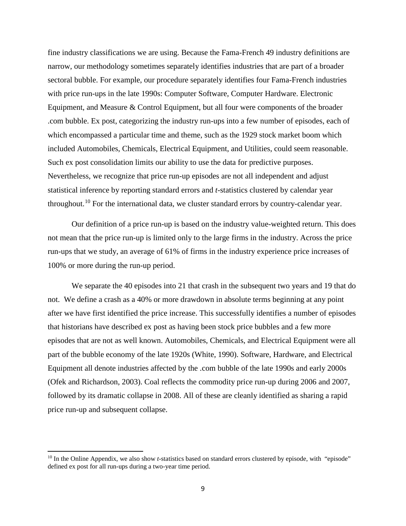fine industry classifications we are using. Because the Fama-French 49 industry definitions are narrow, our methodology sometimes separately identifies industries that are part of a broader sectoral bubble. For example, our procedure separately identifies four Fama-French industries with price run-ups in the late 1990s: Computer Software, Computer Hardware. Electronic Equipment, and Measure & Control Equipment, but all four were components of the broader .com bubble. Ex post, categorizing the industry run-ups into a few number of episodes, each of which encompassed a particular time and theme, such as the 1929 stock market boom which included Automobiles, Chemicals, Electrical Equipment, and Utilities, could seem reasonable. Such ex post consolidation limits our ability to use the data for predictive purposes. Nevertheless, we recognize that price run-up episodes are not all independent and adjust statistical inference by reporting standard errors and *t*-statistics clustered by calendar year throughout.<sup>[10](#page-8-0)</sup> For the international data, we cluster standard errors by country-calendar year.

Our definition of a price run-up is based on the industry value-weighted return. This does not mean that the price run-up is limited only to the large firms in the industry. Across the price run-ups that we study, an average of 61% of firms in the industry experience price increases of 100% or more during the run-up period.

We separate the 40 episodes into 21 that crash in the subsequent two years and 19 that do not. We define a crash as a 40% or more drawdown in absolute terms beginning at any point after we have first identified the price increase. This successfully identifies a number of episodes that historians have described ex post as having been stock price bubbles and a few more episodes that are not as well known. Automobiles, Chemicals, and Electrical Equipment were all part of the bubble economy of the late 1920s (White, 1990). Software, Hardware, and Electrical Equipment all denote industries affected by the .com bubble of the late 1990s and early 2000s (Ofek and Richardson, 2003). Coal reflects the commodity price run-up during 2006 and 2007, followed by its dramatic collapse in 2008. All of these are cleanly identified as sharing a rapid price run-up and subsequent collapse.

l

<span id="page-8-0"></span><sup>&</sup>lt;sup>10</sup> In the Online Appendix, we also show *t*-statistics based on standard errors clustered by episode, with "episode" defined ex post for all run-ups during a two-year time period.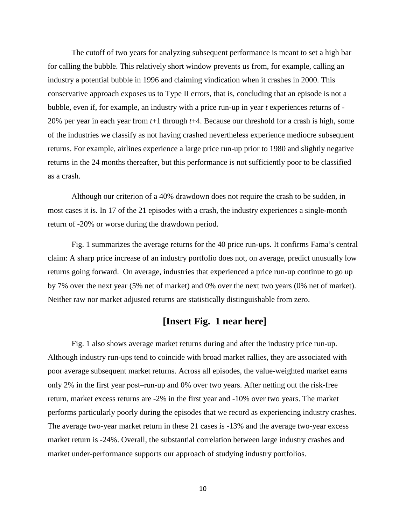The cutoff of two years for analyzing subsequent performance is meant to set a high bar for calling the bubble. This relatively short window prevents us from, for example, calling an industry a potential bubble in 1996 and claiming vindication when it crashes in 2000. This conservative approach exposes us to Type II errors, that is, concluding that an episode is not a bubble, even if, for example, an industry with a price run-up in year *t* experiences returns of - 20% per year in each year from *t*+1 through *t*+4. Because our threshold for a crash is high, some of the industries we classify as not having crashed nevertheless experience mediocre subsequent returns. For example, airlines experience a large price run-up prior to 1980 and slightly negative returns in the 24 months thereafter, but this performance is not sufficiently poor to be classified as a crash.

Although our criterion of a 40% drawdown does not require the crash to be sudden, in most cases it is. In 17 of the 21 episodes with a crash, the industry experiences a single-month return of -20% or worse during the drawdown period.

Fig. 1 summarizes the average returns for the 40 price run-ups. It confirms Fama's central claim: A sharp price increase of an industry portfolio does not, on average, predict unusually low returns going forward. On average, industries that experienced a price run-up continue to go up by 7% over the next year (5% net of market) and 0% over the next two years (0% net of market). Neither raw nor market adjusted returns are statistically distinguishable from zero.

### **[Insert Fig. 1 near here]**

Fig. 1 also shows average market returns during and after the industry price run-up. Although industry run-ups tend to coincide with broad market rallies, they are associated with poor average subsequent market returns. Across all episodes, the value-weighted market earns only 2% in the first year post-run-up and 0% over two years. After netting out the risk-free return, market excess returns are -2% in the first year and -10% over two years. The market performs particularly poorly during the episodes that we record as experiencing industry crashes. The average two-year market return in these 21 cases is -13% and the average two-year excess market return is -24%. Overall, the substantial correlation between large industry crashes and market under-performance supports our approach of studying industry portfolios.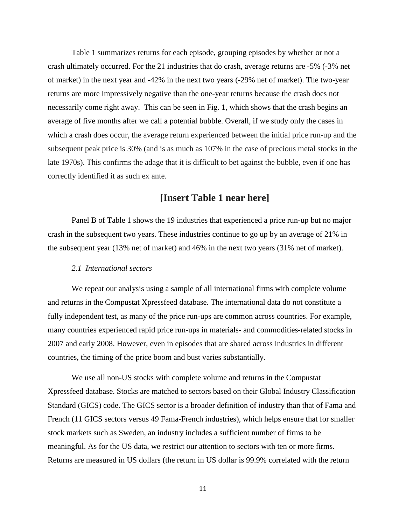Table 1 summarizes returns for each episode, grouping episodes by whether or not a crash ultimately occurred. For the 21 industries that do crash, average returns are -5% (-3% net of market) in the next year and -42% in the next two years (-29% net of market). The two-year returns are more impressively negative than the one-year returns because the crash does not necessarily come right away. This can be seen in Fig. 1, which shows that the crash begins an average of five months after we call a potential bubble. Overall, if we study only the cases in which a crash does occur, the average return experienced between the initial price run-up and the subsequent peak price is 30% (and is as much as 107% in the case of precious metal stocks in the late 1970s). This confirms the adage that it is difficult to bet against the bubble, even if one has correctly identified it as such ex ante.

# **[Insert Table 1 near here]**

Panel B of Table 1 shows the 19 industries that experienced a price run-up but no major crash in the subsequent two years. These industries continue to go up by an average of 21% in the subsequent year (13% net of market) and 46% in the next two years (31% net of market).

#### *2.1 International sectors*

We repeat our analysis using a sample of all international firms with complete volume and returns in the Compustat Xpressfeed database. The international data do not constitute a fully independent test, as many of the price run-ups are common across countries. For example, many countries experienced rapid price run-ups in materials- and commodities-related stocks in 2007 and early 2008. However, even in episodes that are shared across industries in different countries, the timing of the price boom and bust varies substantially.

We use all non-US stocks with complete volume and returns in the Compustat Xpressfeed database. Stocks are matched to sectors based on their Global Industry Classification Standard (GICS) code. The GICS sector is a broader definition of industry than that of Fama and French (11 GICS sectors versus 49 Fama-French industries), which helps ensure that for smaller stock markets such as Sweden, an industry includes a sufficient number of firms to be meaningful. As for the US data, we restrict our attention to sectors with ten or more firms. Returns are measured in US dollars (the return in US dollar is 99.9% correlated with the return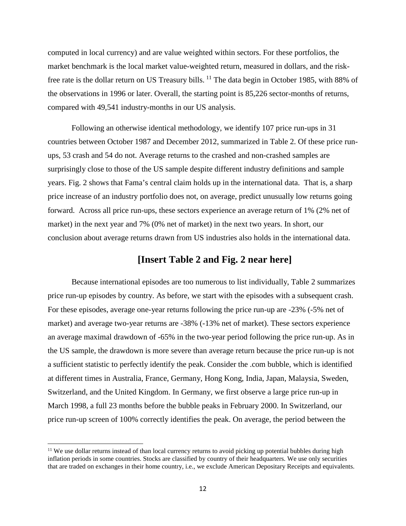computed in local currency) and are value weighted within sectors. For these portfolios, the market benchmark is the local market value-weighted return, measured in dollars, and the risk-free rate is the dollar return on US Treasury bills. <sup>[11](#page-11-0)</sup> The data begin in October 1985, with 88% of the observations in 1996 or later. Overall, the starting point is 85,226 sector-months of returns, compared with 49,541 industry-months in our US analysis.

Following an otherwise identical methodology, we identify 107 price run-ups in 31 countries between October 1987 and December 2012, summarized in Table 2. Of these price runups, 53 crash and 54 do not. Average returns to the crashed and non-crashed samples are surprisingly close to those of the US sample despite different industry definitions and sample years. Fig. 2 shows that Fama's central claim holds up in the international data. That is, a sharp price increase of an industry portfolio does not, on average, predict unusually low returns going forward. Across all price run-ups, these sectors experience an average return of 1% (2% net of market) in the next year and 7% (0% net of market) in the next two years. In short, our conclusion about average returns drawn from US industries also holds in the international data.

## **[Insert Table 2 and Fig. 2 near here]**

Because international episodes are too numerous to list individually, Table 2 summarizes price run-up episodes by country. As before, we start with the episodes with a subsequent crash. For these episodes, average one-year returns following the price run-up are -23% (-5% net of market) and average two-year returns are -38% (-13% net of market). These sectors experience an average maximal drawdown of -65% in the two-year period following the price run-up. As in the US sample, the drawdown is more severe than average return because the price run-up is not a sufficient statistic to perfectly identify the peak. Consider the .com bubble, which is identified at different times in Australia, France, Germany, Hong Kong, India, Japan, Malaysia, Sweden, Switzerland, and the United Kingdom. In Germany, we first observe a large price run-up in March 1998, a full 23 months before the bubble peaks in February 2000. In Switzerland, our price run-up screen of 100% correctly identifies the peak. On average, the period between the

 $\overline{\phantom{a}}$ 

<span id="page-11-0"></span><sup>&</sup>lt;sup>11</sup> We use dollar returns instead of than local currency returns to avoid picking up potential bubbles during high inflation periods in some countries. Stocks are classified by country of their headquarters. We use only securities that are traded on exchanges in their home country, i.e., we exclude American Depositary Receipts and equivalents.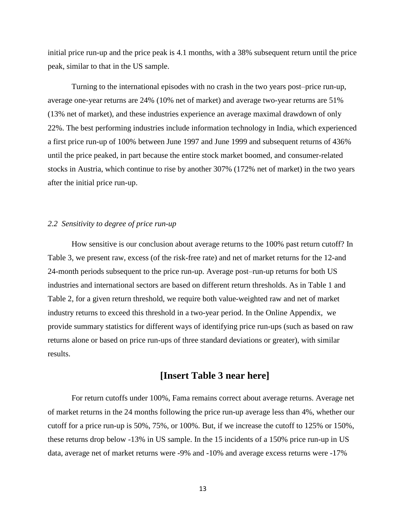initial price run-up and the price peak is 4.1 months, with a 38% subsequent return until the price peak, similar to that in the US sample.

Turning to the international episodes with no crash in the two years post-price run-up, average one-year returns are 24% (10% net of market) and average two-year returns are 51% (13% net of market), and these industries experience an average maximal drawdown of only 22%. The best performing industries include information technology in India, which experienced a first price run-up of 100% between June 1997 and June 1999 and subsequent returns of 436% until the price peaked, in part because the entire stock market boomed, and consumer-related stocks in Austria, which continue to rise by another 307% (172% net of market) in the two years after the initial price run-up.

#### *2.2 Sensitivity to degree of price run-up*

How sensitive is our conclusion about average returns to the 100% past return cutoff? In Table 3, we present raw, excess (of the risk-free rate) and net of market returns for the 12-and 24-month periods subsequent to the price run-up. Average post-run-up returns for both US industries and international sectors are based on different return thresholds. As in Table 1 and Table 2, for a given return threshold, we require both value-weighted raw and net of market industry returns to exceed this threshold in a two-year period. In the Online Appendix, we provide summary statistics for different ways of identifying price run-ups (such as based on raw returns alone or based on price run-ups of three standard deviations or greater), with similar results.

# **[Insert Table 3 near here]**

For return cutoffs under 100%, Fama remains correct about average returns. Average net of market returns in the 24 months following the price run-up average less than 4%, whether our cutoff for a price run-up is 50%, 75%, or 100%. But, if we increase the cutoff to 125% or 150%, these returns drop below -13% in US sample. In the 15 incidents of a 150% price run-up in US data, average net of market returns were -9% and -10% and average excess returns were -17%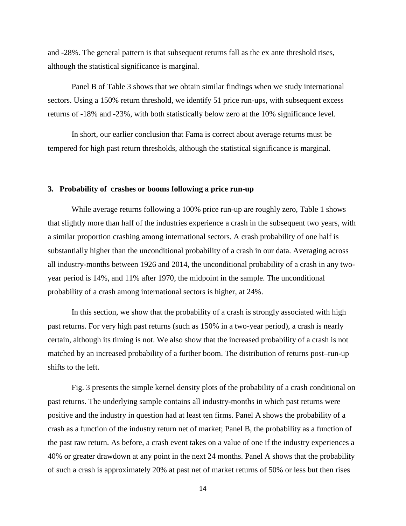and -28%. The general pattern is that subsequent returns fall as the ex ante threshold rises, although the statistical significance is marginal.

Panel B of Table 3 shows that we obtain similar findings when we study international sectors. Using a 150% return threshold, we identify 51 price run-ups, with subsequent excess returns of -18% and -23%, with both statistically below zero at the 10% significance level.

In short, our earlier conclusion that Fama is correct about average returns must be tempered for high past return thresholds, although the statistical significance is marginal.

#### **3. Probability of crashes or booms following a price run-up**

While average returns following a 100% price run-up are roughly zero, Table 1 shows that slightly more than half of the industries experience a crash in the subsequent two years, with a similar proportion crashing among international sectors. A crash probability of one half is substantially higher than the unconditional probability of a crash in our data. Averaging across all industry-months between 1926 and 2014, the unconditional probability of a crash in any twoyear period is 14%, and 11% after 1970, the midpoint in the sample. The unconditional probability of a crash among international sectors is higher, at 24%.

In this section, we show that the probability of a crash is strongly associated with high past returns. For very high past returns (such as 150% in a two-year period), a crash is nearly certain, although its timing is not. We also show that the increased probability of a crash is not matched by an increased probability of a further boom. The distribution of returns post–run-up shifts to the left.

Fig. 3 presents the simple kernel density plots of the probability of a crash conditional on past returns. The underlying sample contains all industry-months in which past returns were positive and the industry in question had at least ten firms. Panel A shows the probability of a crash as a function of the industry return net of market; Panel B, the probability as a function of the past raw return. As before, a crash event takes on a value of one if the industry experiences a 40% or greater drawdown at any point in the next 24 months. Panel A shows that the probability of such a crash is approximately 20% at past net of market returns of 50% or less but then rises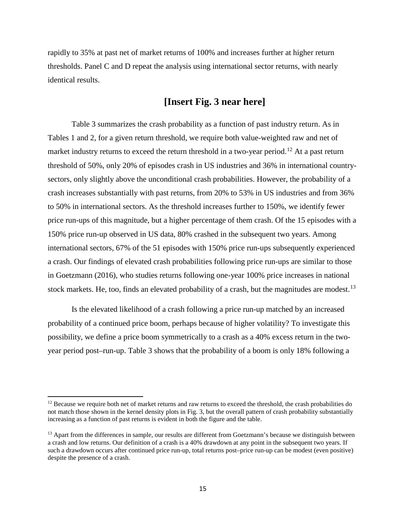rapidly to 35% at past net of market returns of 100% and increases further at higher return thresholds. Panel C and D repeat the analysis using international sector returns, with nearly identical results.

# **[Insert Fig. 3 near here]**

Table 3 summarizes the crash probability as a function of past industry return. As in Tables 1 and 2, for a given return threshold, we require both value-weighted raw and net of market industry returns to exceed the return threshold in a two-year period.<sup>[12](#page-14-0)</sup> At a past return threshold of 50%, only 20% of episodes crash in US industries and 36% in international countrysectors, only slightly above the unconditional crash probabilities. However, the probability of a crash increases substantially with past returns, from 20% to 53% in US industries and from 36% to 50% in international sectors. As the threshold increases further to 150%, we identify fewer price run-ups of this magnitude, but a higher percentage of them crash. Of the 15 episodes with a 150% price run-up observed in US data, 80% crashed in the subsequent two years. Among international sectors, 67% of the 51 episodes with 150% price run-ups subsequently experienced a crash. Our findings of elevated crash probabilities following price run-ups are similar to those in Goetzmann (2016), who studies returns following one-year 100% price increases in national stock markets. He, too, finds an elevated probability of a crash, but the magnitudes are modest.<sup>[13](#page-14-1)</sup>

Is the elevated likelihood of a crash following a price run-up matched by an increased probability of a continued price boom, perhaps because of higher volatility? To investigate this possibility, we define a price boom symmetrically to a crash as a 40% excess return in the twoyear period post–run-up. Table 3 shows that the probability of a boom is only 18% following a

 $\overline{\phantom{a}}$ 

<span id="page-14-0"></span> $12$  Because we require both net of market returns and raw returns to exceed the threshold, the crash probabilities do not match those shown in the kernel density plots in Fig. 3, but the overall pattern of crash probability substantially increasing as a function of past returns is evident in both the figure and the table.

<span id="page-14-1"></span><sup>&</sup>lt;sup>13</sup> Apart from the differences in sample, our results are different from Goetzmann's because we distinguish between a crash and low returns. Our definition of a crash is a 40% drawdown at any point in the subsequent two years. If such a drawdown occurs after continued price run-up, total returns post–price run-up can be modest (even positive) despite the presence of a crash.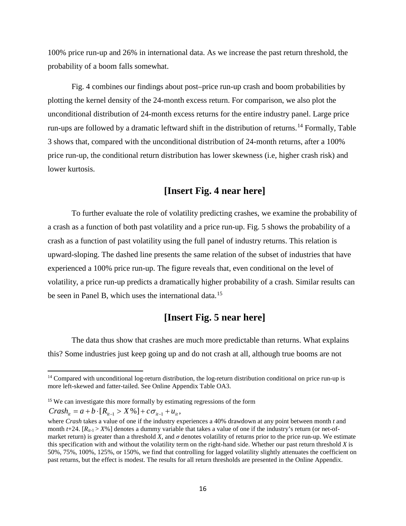100% price run-up and 26% in international data. As we increase the past return threshold, the probability of a boom falls somewhat.

Fig. 4 combines our findings about post–price run-up crash and boom probabilities by plotting the kernel density of the 24-month excess return. For comparison, we also plot the unconditional distribution of 24-month excess returns for the entire industry panel. Large price run-ups are followed by a dramatic leftward shift in the distribution of returns.<sup>[14](#page-15-0)</sup> Formally, Table 3 shows that, compared with the unconditional distribution of 24-month returns, after a 100% price run-up, the conditional return distribution has lower skewness (i.e, higher crash risk) and lower kurtosis.

# **[Insert Fig. 4 near here]**

To further evaluate the role of volatility predicting crashes, we examine the probability of a crash as a function of both past volatility and a price run-up. Fig. 5 shows the probability of a crash as a function of past volatility using the full panel of industry returns. This relation is upward-sloping. The dashed line presents the same relation of the subset of industries that have experienced a 100% price run-up. The figure reveals that, even conditional on the level of volatility, a price run-up predicts a dramatically higher probability of a crash. Similar results can be seen in Panel B, which uses the international data.<sup>[15](#page-15-1)</sup>

# **[Insert Fig. 5 near here]**

The data thus show that crashes are much more predictable than returns. What explains this? Some industries just keep going up and do not crash at all, although true booms are not

 $Crash_{it} = a + b \cdot [R_{it-1} > X\%] + c\sigma_{it-1} + u_{it},$ 

l

<span id="page-15-0"></span><sup>&</sup>lt;sup>14</sup> Compared with unconditional log-return distribution, the log-return distribution conditional on price run-up is more left-skewed and fatter-tailed. See Online Appendix Table OA3.

<span id="page-15-1"></span><sup>&</sup>lt;sup>15</sup> We can investigate this more formally by estimating regressions of the form

where *Crash* takes a value of one if the industry experiences a 40% drawdown at any point between month *t* and month  $t+24$ .  $[R_{it-1} > X\%]$  denotes a dummy variable that takes a value of one if the industry's return (or net-ofmarket return) is greater than a threshold *X*, and  $\sigma$  denotes volatility of returns prior to the price run-up. We estimate this specification with and without the volatility term on the right-hand side. Whether our past return threshold *X* is 50%, 75%, 100%, 125%, or 150%, we find that controlling for lagged volatility slightly attenuates the coefficient on past returns, but the effect is modest. The results for all return thresholds are presented in the Online Appendix.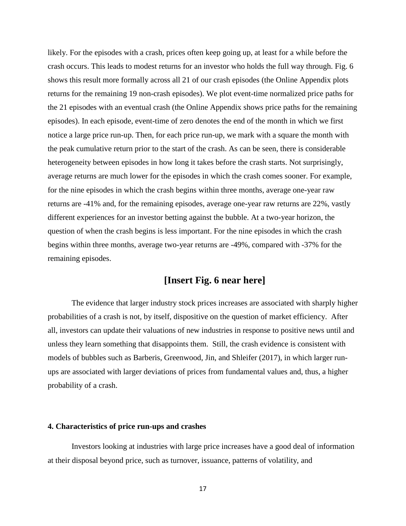likely. For the episodes with a crash, prices often keep going up, at least for a while before the crash occurs. This leads to modest returns for an investor who holds the full way through. Fig. 6 shows this result more formally across all 21 of our crash episodes (the Online Appendix plots returns for the remaining 19 non-crash episodes). We plot event-time normalized price paths for the 21 episodes with an eventual crash (the Online Appendix shows price paths for the remaining episodes). In each episode, event-time of zero denotes the end of the month in which we first notice a large price run-up. Then, for each price run-up, we mark with a square the month with the peak cumulative return prior to the start of the crash. As can be seen, there is considerable heterogeneity between episodes in how long it takes before the crash starts. Not surprisingly, average returns are much lower for the episodes in which the crash comes sooner. For example, for the nine episodes in which the crash begins within three months, average one-year raw returns are -41% and, for the remaining episodes, average one-year raw returns are 22%, vastly different experiences for an investor betting against the bubble. At a two-year horizon, the question of when the crash begins is less important. For the nine episodes in which the crash begins within three months, average two-year returns are -49%, compared with -37% for the remaining episodes.

# **[Insert Fig. 6 near here]**

The evidence that larger industry stock prices increases are associated with sharply higher probabilities of a crash is not, by itself, dispositive on the question of market efficiency. After all, investors can update their valuations of new industries in response to positive news until and unless they learn something that disappoints them. Still, the crash evidence is consistent with models of bubbles such as Barberis, Greenwood, Jin, and Shleifer (2017), in which larger runups are associated with larger deviations of prices from fundamental values and, thus, a higher probability of a crash.

#### **4. Characteristics of price run-ups and crashes**

Investors looking at industries with large price increases have a good deal of information at their disposal beyond price, such as turnover, issuance, patterns of volatility, and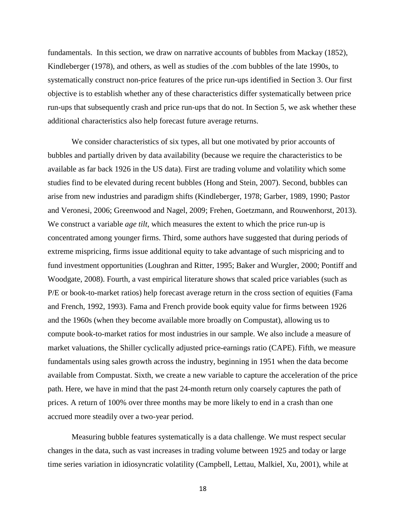fundamentals. In this section, we draw on narrative accounts of bubbles from Mackay (1852), Kindleberger (1978), and others, as well as studies of the .com bubbles of the late 1990s, to systematically construct non-price features of the price run-ups identified in Section 3. Our first objective is to establish whether any of these characteristics differ systematically between price run-ups that subsequently crash and price run-ups that do not. In Section 5, we ask whether these additional characteristics also help forecast future average returns.

We consider characteristics of six types, all but one motivated by prior accounts of bubbles and partially driven by data availability (because we require the characteristics to be available as far back 1926 in the US data). First are trading volume and volatility which some studies find to be elevated during recent bubbles (Hong and Stein, 2007). Second, bubbles can arise from new industries and paradigm shifts (Kindleberger, 1978; Garber, 1989, 1990; Pastor and Veronesi, 2006; Greenwood and Nagel, 2009; Frehen, Goetzmann, and Rouwenhorst, 2013). We construct a variable *age tilt*, which measures the extent to which the price run-up is concentrated among younger firms. Third, some authors have suggested that during periods of extreme mispricing, firms issue additional equity to take advantage of such mispricing and to fund investment opportunities (Loughran and Ritter, 1995; Baker and Wurgler, 2000; Pontiff and Woodgate, 2008). Fourth, a vast empirical literature shows that scaled price variables (such as P/E or book-to-market ratios) help forecast average return in the cross section of equities (Fama and French, 1992, 1993). Fama and French provide book equity value for firms between 1926 and the 1960s (when they become available more broadly on Compustat), allowing us to compute book-to-market ratios for most industries in our sample. We also include a measure of market valuations, the Shiller cyclically adjusted price-earnings ratio (CAPE). Fifth, we measure fundamentals using sales growth across the industry, beginning in 1951 when the data become available from Compustat. Sixth, we create a new variable to capture the acceleration of the price path. Here, we have in mind that the past 24-month return only coarsely captures the path of prices. A return of 100% over three months may be more likely to end in a crash than one accrued more steadily over a two-year period.

Measuring bubble features systematically is a data challenge. We must respect secular changes in the data, such as vast increases in trading volume between 1925 and today or large time series variation in idiosyncratic volatility (Campbell, Lettau, Malkiel, Xu, 2001), while at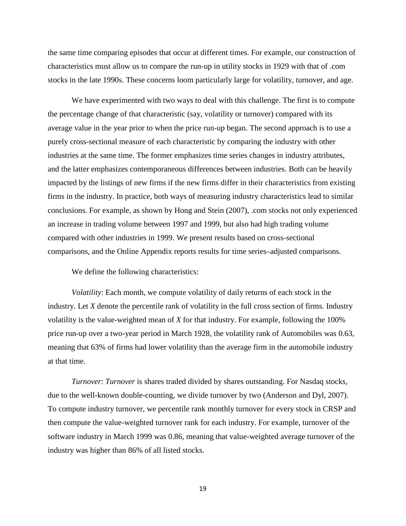the same time comparing episodes that occur at different times. For example, our construction of characteristics must allow us to compare the run-up in utility stocks in 1929 with that of .com stocks in the late 1990s. These concerns loom particularly large for volatility, turnover, and age.

We have experimented with two ways to deal with this challenge. The first is to compute the percentage change of that characteristic (say, volatility or turnover) compared with its average value in the year prior to when the price run-up began. The second approach is to use a purely cross-sectional measure of each characteristic by comparing the industry with other industries at the same time. The former emphasizes time series changes in industry attributes, and the latter emphasizes contemporaneous differences between industries. Both can be heavily impacted by the listings of new firms if the new firms differ in their characteristics from existing firms in the industry. In practice, both ways of measuring industry characteristics lead to similar conclusions. For example, as shown by Hong and Stein (2007), .com stocks not only experienced an increase in trading volume between 1997 and 1999, but also had high trading volume compared with other industries in 1999. We present results based on cross-sectional comparisons, and the Online Appendix reports results for time series–adjusted comparisons.

We define the following characteristics:

*Volatility*: Each month, we compute volatility of daily returns of each stock in the industry. Let *X* denote the percentile rank of volatility in the full cross section of firms. Industry volatility is the value-weighted mean of *X* for that industry. For example, following the 100% price run-up over a two-year period in March 1928, the volatility rank of Automobiles was 0.63, meaning that 63% of firms had lower volatility than the average firm in the automobile industry at that time.

*Turnover*: *Turnover* is shares traded divided by shares outstanding. For Nasdaq stocks, due to the well-known double-counting, we divide turnover by two (Anderson and Dyl, 2007). To compute industry turnover, we percentile rank monthly turnover for every stock in CRSP and then compute the value-weighted turnover rank for each industry. For example, turnover of the software industry in March 1999 was 0.86, meaning that value-weighted average turnover of the industry was higher than 86% of all listed stocks.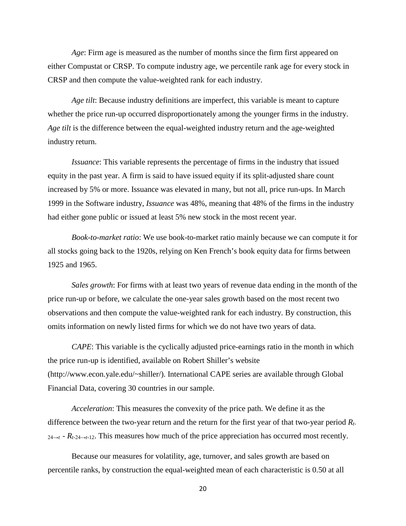*Age*: Firm age is measured as the number of months since the firm first appeared on either Compustat or CRSP. To compute industry age, we percentile rank age for every stock in CRSP and then compute the value-weighted rank for each industry.

*Age tilt*: Because industry definitions are imperfect, this variable is meant to capture whether the price run-up occurred disproportionately among the younger firms in the industry. *Age tilt* is the difference between the equal-weighted industry return and the age-weighted industry return.

*Issuance*: This variable represents the percentage of firms in the industry that issued equity in the past year. A firm is said to have issued equity if its split-adjusted share count increased by 5% or more. Issuance was elevated in many, but not all, price run-ups. In March 1999 in the Software industry, *Issuance* was 48%, meaning that 48% of the firms in the industry had either gone public or issued at least 5% new stock in the most recent year.

*Book-to-market ratio*: We use book-to-market ratio mainly because we can compute it for all stocks going back to the 1920s, relying on Ken French's book equity data for firms between 1925 and 1965.

*Sales growth*: For firms with at least two years of revenue data ending in the month of the price run-up or before, we calculate the one-year sales growth based on the most recent two observations and then compute the value-weighted rank for each industry. By construction, this omits information on newly listed firms for which we do not have two years of data.

*CAPE*: This variable is the cyclically adjusted price-earnings ratio in the month in which the price run-up is identified, available on Robert Shiller's website (http://www.econ.yale.edu/~shiller/). International CAPE series are available through Global Financial Data, covering 30 countries in our sample.

*Acceleration*: This measures the convexity of the price path. We define it as the difference between the two-year return and the return for the first year of that two-year period *Rt*- $_{24\rightarrow t}$  -  $R_{t-24\rightarrow t-12}$ . This measures how much of the price appreciation has occurred most recently.

Because our measures for volatility, age, turnover, and sales growth are based on percentile ranks, by construction the equal-weighted mean of each characteristic is 0.50 at all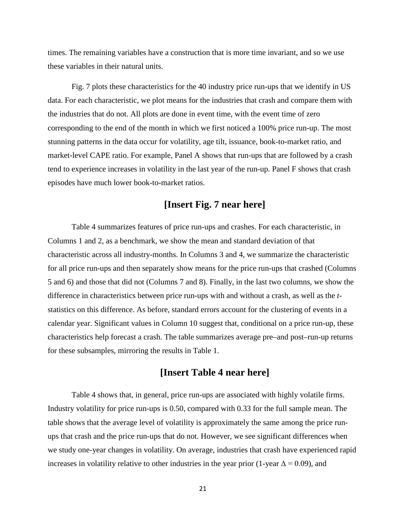times. The remaining variables have a construction that is more time invariant, and so we use these variables in their natural units.

Fig. 7 plots these characteristics for the 40 industry price run-ups that we identify in US data. For each characteristic, we plot means for the industries that crash and compare them with the industries that do not. All plots are done in event time, with the event time of zero corresponding to the end of the month in which we first noticed a 100% price run-up. The most stunning patterns in the data occur for volatility, age tilt, issuance, book-to-market ratio, and market-level CAPE ratio. For example, Panel A shows that run-ups that are followed by a crash tend to experience increases in volatility in the last year of the run-up. Panel F shows that crash episodes have much lower book-to-market ratios.

# **[Insert Fig. 7 near here]**

Table 4 summarizes features of price run-ups and crashes. For each characteristic, in Columns 1 and 2, as a benchmark, we show the mean and standard deviation of that characteristic across all industry-months. In Columns 3 and 4, we summarize the characteristic for all price run-ups and then separately show means for the price run-ups that crashed (Columns 5 and 6) and those that did not (Columns 7 and 8). Finally, in the last two columns, we show the difference in characteristics between price run-ups with and without a crash, as well as the *t*statistics on this difference. As before, standard errors account for the clustering of events in a calendar year. Significant values in Column 10 suggest that, conditional on a price run-up, these characteristics help forecast a crash. The table summarizes average pre–and post–run-up returns for these subsamples, mirroring the results in Table 1.

## **[Insert Table 4 near here]**

Table 4 shows that, in general, price run-ups are associated with highly volatile firms. Industry volatility for price run-ups is 0.50, compared with 0.33 for the full sample mean. The table shows that the average level of volatility is approximately the same among the price runups that crash and the price run-ups that do not. However, we see significant differences when we study one-year changes in volatility. On average, industries that crash have experienced rapid increases in volatility relative to other industries in the year prior (1-year  $\Delta = 0.09$ ), and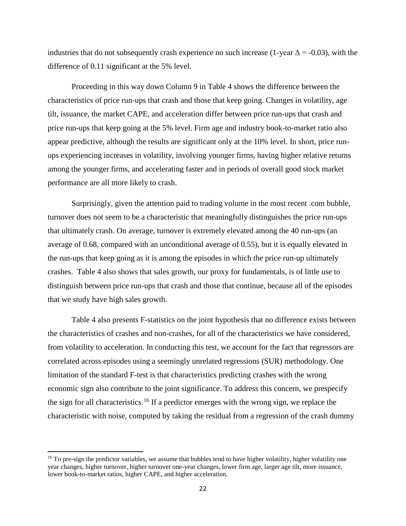industries that do not subsequently crash experience no such increase (1-year  $\Delta$  = -0.03), with the difference of 0.11 significant at the 5% level.

Proceeding in this way down Column 9 in Table 4 shows the difference between the characteristics of price run-ups that crash and those that keep going. Changes in volatility, age tilt, issuance, the market CAPE, and acceleration differ between price run-ups that crash and price run-ups that keep going at the 5% level. Firm age and industry book-to-market ratio also appear predictive, although the results are significant only at the 10% level. In short, price runups experiencing increases in volatility, involving younger firms, having higher relative returns among the younger firms, and accelerating faster and in periods of overall good stock market performance are all more likely to crash.

Surprisingly, given the attention paid to trading volume in the most recent .com bubble, turnover does not seem to be a characteristic that meaningfully distinguishes the price run-ups that ultimately crash. On average, turnover is extremely elevated among the 40 run-ups (an average of 0.68, compared with an unconditional average of 0.55), but it is equally elevated in the run-ups that keep going as it is among the episodes in which the price run-up ultimately crashes. Table 4 also shows that sales growth, our proxy for fundamentals, is of little use to distinguish between price run-ups that crash and those that continue, because all of the episodes that we study have high sales growth.

Table 4 also presents F-statistics on the joint hypothesis that no difference exists between the characteristics of crashes and non-crashes, for all of the characteristics we have considered, from volatility to acceleration. In conducting this test, we account for the fact that regressors are correlated across episodes using a seemingly unrelated regressions (SUR) methodology. One limitation of the standard F-test is that characteristics predicting crashes with the wrong economic sign also contribute to the joint significance. To address this concern, we prespecify the sign for all characteristics.<sup>[16](#page-21-0)</sup> If a predictor emerges with the wrong sign, we replace the characteristic with noise, computed by taking the residual from a regression of the crash dummy

 $\overline{\phantom{a}}$ 

<span id="page-21-0"></span><sup>&</sup>lt;sup>16</sup> To pre-sign the predictor variables, we assume that bubbles tend to have higher volatility, higher volatility one year changes, higher turnover, higher turnover one-year changes, lower firm age, larger age tilt, more issuance, lower book-to-market ratios, higher CAPE, and higher acceleration.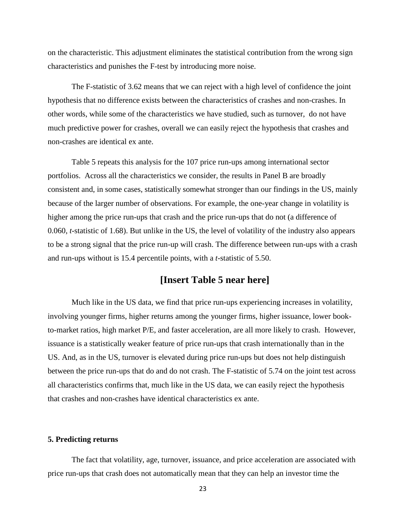on the characteristic. This adjustment eliminates the statistical contribution from the wrong sign characteristics and punishes the F-test by introducing more noise.

The F-statistic of 3.62 means that we can reject with a high level of confidence the joint hypothesis that no difference exists between the characteristics of crashes and non-crashes. In other words, while some of the characteristics we have studied, such as turnover, do not have much predictive power for crashes, overall we can easily reject the hypothesis that crashes and non-crashes are identical ex ante.

Table 5 repeats this analysis for the 107 price run-ups among international sector portfolios. Across all the characteristics we consider, the results in Panel B are broadly consistent and, in some cases, statistically somewhat stronger than our findings in the US, mainly because of the larger number of observations. For example, the one-year change in volatility is higher among the price run-ups that crash and the price run-ups that do not (a difference of 0.060, *t*-statistic of 1.68). But unlike in the US, the level of volatility of the industry also appears to be a strong signal that the price run-up will crash. The difference between run-ups with a crash and run-ups without is 15.4 percentile points, with a *t*-statistic of 5.50.

## **[Insert Table 5 near here]**

Much like in the US data, we find that price run-ups experiencing increases in volatility, involving younger firms, higher returns among the younger firms, higher issuance, lower bookto-market ratios, high market P/E, and faster acceleration, are all more likely to crash. However, issuance is a statistically weaker feature of price run-ups that crash internationally than in the US. And, as in the US, turnover is elevated during price run-ups but does not help distinguish between the price run-ups that do and do not crash. The F-statistic of 5.74 on the joint test across all characteristics confirms that, much like in the US data, we can easily reject the hypothesis that crashes and non-crashes have identical characteristics ex ante.

#### **5. Predicting returns**

The fact that volatility, age, turnover, issuance, and price acceleration are associated with price run-ups that crash does not automatically mean that they can help an investor time the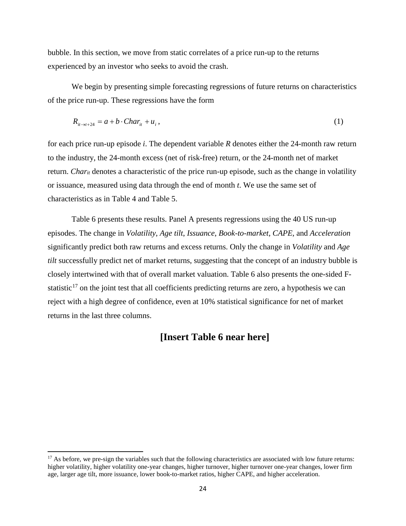bubble. In this section, we move from static correlates of a price run-up to the returns experienced by an investor who seeks to avoid the crash.

We begin by presenting simple forecasting regressions of future returns on characteristics of the price run-up. These regressions have the form

$$
R_{it \to t+24} = a + b \cdot Char_{it} + u_i, \qquad (1)
$$

for each price run-up episode *i*. The dependent variable *R* denotes either the 24-month raw return to the industry, the 24-month excess (net of risk-free) return, or the 24-month net of market return. *Char<sub>it</sub>* denotes a characteristic of the price run-up episode, such as the change in volatility or issuance, measured using data through the end of month *t*. We use the same set of characteristics as in Table 4 and Table 5.

Table 6 presents these results. Panel A presents regressions using the 40 US run-up episodes. The change in *Volatility*, *Age tilt*, *Issuance*, *Book-to-market*, *CAPE*, and *Acceleration* significantly predict both raw returns and excess returns. Only the change in *Volatility* and *Age tilt* successfully predict net of market returns, suggesting that the concept of an industry bubble is closely intertwined with that of overall market valuation. Table 6 also presents the one-sided Fstatistic $17$  on the joint test that all coefficients predicting returns are zero, a hypothesis we can reject with a high degree of confidence, even at 10% statistical significance for net of market returns in the last three columns.

# **[Insert Table 6 near here]**

 $\overline{\phantom{a}}$ 

<span id="page-23-0"></span> $17$  As before, we pre-sign the variables such that the following characteristics are associated with low future returns: higher volatility, higher volatility one-year changes, higher turnover, higher turnover one-year changes, lower firm age, larger age tilt, more issuance, lower book-to-market ratios, higher CAPE, and higher acceleration.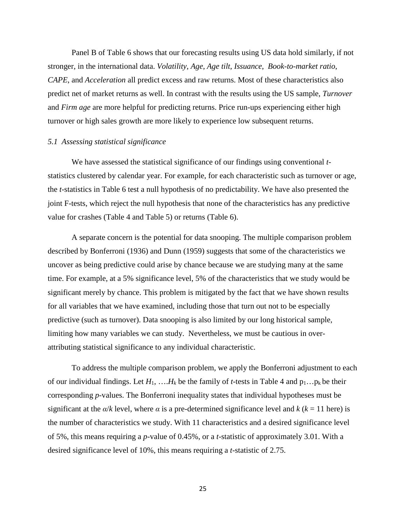Panel B of Table 6 shows that our forecasting results using US data hold similarly, if not stronger, in the international data. *Volatility*, *Age*, *Age tilt*, *Issuance*, *Book-to-market ratio*, *CAPE*, and *Acceleration* all predict excess and raw returns. Most of these characteristics also predict net of market returns as well. In contrast with the results using the US sample, *Turnover* and *Firm age* are more helpful for predicting returns. Price run-ups experiencing either high turnover or high sales growth are more likely to experience low subsequent returns.

#### *5.1 Assessing statistical significance*

We have assessed the statistical significance of our findings using conventional *t*statistics clustered by calendar year. For example, for each characteristic such as turnover or age, the *t*-statistics in Table 6 test a null hypothesis of no predictability. We have also presented the joint F-tests, which reject the null hypothesis that none of the characteristics has any predictive value for crashes (Table 4 and Table 5) or returns (Table 6).

A separate concern is the potential for data snooping. The multiple comparison problem described by Bonferroni (1936) and Dunn (1959) suggests that some of the characteristics we uncover as being predictive could arise by chance because we are studying many at the same time. For example, at a 5% significance level, 5% of the characteristics that we study would be significant merely by chance. This problem is mitigated by the fact that we have shown results for all variables that we have examined, including those that turn out not to be especially predictive (such as turnover). Data snooping is also limited by our long historical sample, limiting how many variables we can study. Nevertheless, we must be cautious in overattributing statistical significance to any individual characteristic.

To address the multiple comparison problem, we apply the Bonferroni adjustment to each of our individual findings. Let  $H_1$ , ….  $H_k$  be the family of *t*-tests in Table 4 and  $p_1...p_k$  be their corresponding *p*-values. The Bonferroni inequality states that individual hypotheses must be significant at the  $\alpha/k$  level, where  $\alpha$  is a pre-determined significance level and  $k$  ( $k = 11$  here) is the number of characteristics we study. With 11 characteristics and a desired significance level of 5%, this means requiring a *p*-value of 0.45%, or a *t*-statistic of approximately 3.01. With a desired significance level of 10%, this means requiring a *t*-statistic of 2.75.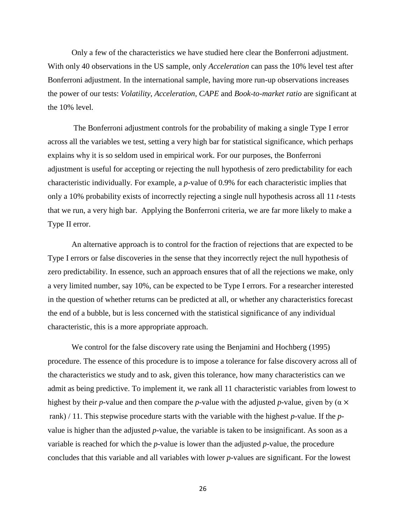Only a few of the characteristics we have studied here clear the Bonferroni adjustment. With only 40 observations in the US sample, only *Acceleration* can pass the 10% level test after Bonferroni adjustment. In the international sample, having more run-up observations increases the power of our tests: *Volatility*, *Acceleration*, *CAPE* and *Book-to-market ratio* are significant at the 10% level.

The Bonferroni adjustment controls for the probability of making a single Type I error across all the variables we test, setting a very high bar for statistical significance, which perhaps explains why it is so seldom used in empirical work. For our purposes, the Bonferroni adjustment is useful for accepting or rejecting the null hypothesis of zero predictability for each characteristic individually. For example, a *p*-value of 0.9% for each characteristic implies that only a 10% probability exists of incorrectly rejecting a single null hypothesis across all 11 *t*-tests that we run, a very high bar. Applying the Bonferroni criteria, we are far more likely to make a Type II error.

An alternative approach is to control for the fraction of rejections that are expected to be Type I errors or false discoveries in the sense that they incorrectly reject the null hypothesis of zero predictability. In essence, such an approach ensures that of all the rejections we make, only a very limited number, say 10%, can be expected to be Type I errors. For a researcher interested in the question of whether returns can be predicted at all, or whether any characteristics forecast the end of a bubble, but is less concerned with the statistical significance of any individual characteristic, this is a more appropriate approach.

We control for the false discovery rate using the Benjamini and Hochberg (1995) procedure. The essence of this procedure is to impose a tolerance for false discovery across all of the characteristics we study and to ask, given this tolerance, how many characteristics can we admit as being predictive. To implement it, we rank all 11 characteristic variables from lowest to highest by their *p*-value and then compare the *p*-value with the adjusted *p*-value, given by ( $\alpha \times$ rank) / 11. This stepwise procedure starts with the variable with the highest *p*-value. If the *p*value is higher than the adjusted *p*-value, the variable is taken to be insignificant. As soon as a variable is reached for which the *p*-value is lower than the adjusted *p*-value, the procedure concludes that this variable and all variables with lower *p*-values are significant. For the lowest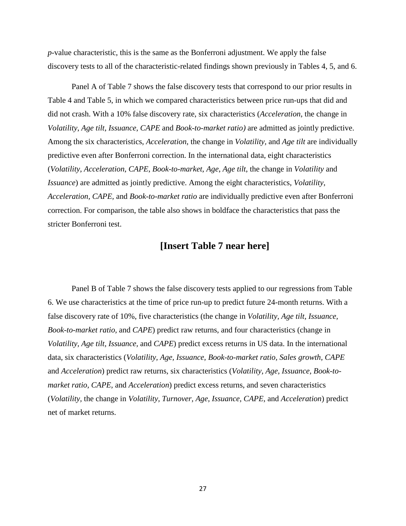*p*-value characteristic, this is the same as the Bonferroni adjustment. We apply the false discovery tests to all of the characteristic-related findings shown previously in Tables 4, 5, and 6.

Panel A of Table 7 shows the false discovery tests that correspond to our prior results in Table 4 and Table 5, in which we compared characteristics between price run-ups that did and did not crash. With a 10% false discovery rate, six characteristics (*Acceleration*, the change in *Volatility*, *Age tilt*, *Issuance*, *CAPE* and *Book-to-market ratio)* are admitted as jointly predictive. Among the six characteristics, *Acceleration*, the change in *Volatility,* and *Age tilt* are individually predictive even after Bonferroni correction. In the international data, eight characteristics (*Volatility*, *Acceleration*, *CAPE*, *Book-to-market*, *Age*, *Age tilt*, the change in *Volatility* and *Issuance*) are admitted as jointly predictive. Among the eight characteristics, *Volatility*, *Acceleration, CAPE,* and *Book-to-market ratio* are individually predictive even after Bonferroni correction. For comparison, the table also shows in boldface the characteristics that pass the stricter Bonferroni test.

## **[Insert Table 7 near here]**

Panel B of Table 7 shows the false discovery tests applied to our regressions from Table 6. We use characteristics at the time of price run-up to predict future 24-month returns. With a false discovery rate of 10%, five characteristics (the change in *Volatility, Age tilt, Issuance, Book-to-market ratio,* and *CAPE*) predict raw returns, and four characteristics (change in *Volatility, Age tilt, Issuance,* and *CAPE*) predict excess returns in US data. In the international data, six characteristics (*Volatility, Age, Issuance, Book-to-market ratio, Sales growth, CAPE* and *Acceleration*) predict raw returns, six characteristics (*Volatility, Age, Issuance, Book-tomarket ratio, CAPE,* and *Acceleration*) predict excess returns, and seven characteristics (*Volatility,* the change in *Volatility, Turnover, Age, Issuance, CAPE,* and *Acceleration*) predict net of market returns.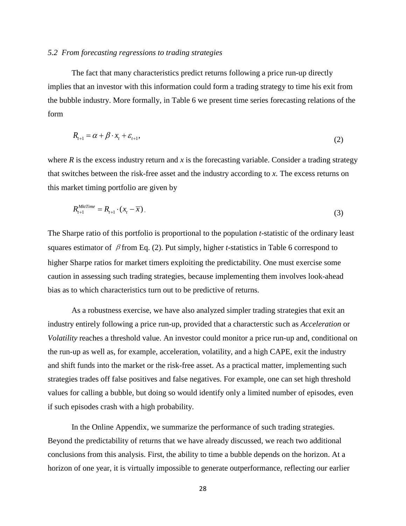#### *5.2 From forecasting regressions to trading strategies*

The fact that many characteristics predict returns following a price run-up directly implies that an investor with this information could form a trading strategy to time his exit from the bubble industry. More formally, in Table 6 we present time series forecasting relations of the form

$$
R_{t+1} = \alpha + \beta \cdot x_t + \varepsilon_{t+1},\tag{2}
$$

where  $R$  is the excess industry return and  $x$  is the forecasting variable. Consider a trading strategy that switches between the risk-free asset and the industry according to *x*. The excess returns on this market timing portfolio are given by

$$
R_{t+1}^{MktTime} = R_{t+1} \cdot (x_t - \overline{x}). \tag{3}
$$

The Sharpe ratio of this portfolio is proportional to the population *t*-statistic of the ordinary least squares estimator of βfrom Eq. (2). Put simply, higher *t*-statistics in Table 6 correspond to higher Sharpe ratios for market timers exploiting the predictability. One must exercise some caution in assessing such trading strategies, because implementing them involves look-ahead bias as to which characteristics turn out to be predictive of returns.

As a robustness exercise, we have also analyzed simpler trading strategies that exit an industry entirely following a price run-up, provided that a characterstic such as *Acceleration* or *Volatility* reaches a threshold value. An investor could monitor a price run-up and, conditional on the run-up as well as, for example, acceleration, volatility, and a high CAPE, exit the industry and shift funds into the market or the risk-free asset. As a practical matter, implementing such strategies trades off false positives and false negatives. For example, one can set high threshold values for calling a bubble, but doing so would identify only a limited number of episodes, even if such episodes crash with a high probability.

In the Online Appendix, we summarize the performance of such trading strategies. Beyond the predictability of returns that we have already discussed, we reach two additional conclusions from this analysis. First, the ability to time a bubble depends on the horizon. At a horizon of one year, it is virtually impossible to generate outperformance, reflecting our earlier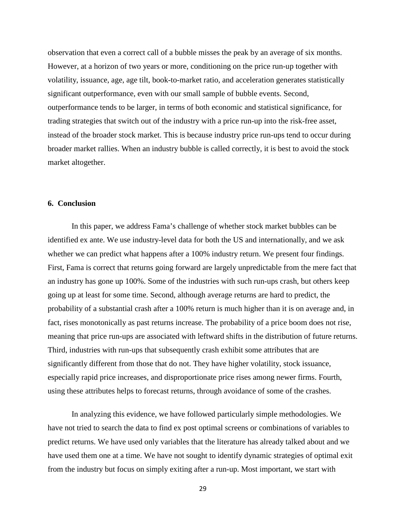observation that even a correct call of a bubble misses the peak by an average of six months. However, at a horizon of two years or more, conditioning on the price run-up together with volatility, issuance, age, age tilt, book-to-market ratio, and acceleration generates statistically significant outperformance, even with our small sample of bubble events. Second, outperformance tends to be larger, in terms of both economic and statistical significance, for trading strategies that switch out of the industry with a price run-up into the risk-free asset, instead of the broader stock market. This is because industry price run-ups tend to occur during broader market rallies. When an industry bubble is called correctly, it is best to avoid the stock market altogether.

#### **6. Conclusion**

In this paper, we address Fama's challenge of whether stock market bubbles can be identified ex ante. We use industry-level data for both the US and internationally, and we ask whether we can predict what happens after a 100% industry return. We present four findings. First, Fama is correct that returns going forward are largely unpredictable from the mere fact that an industry has gone up 100%. Some of the industries with such run-ups crash, but others keep going up at least for some time. Second, although average returns are hard to predict, the probability of a substantial crash after a 100% return is much higher than it is on average and, in fact, rises monotonically as past returns increase. The probability of a price boom does not rise, meaning that price run-ups are associated with leftward shifts in the distribution of future returns. Third, industries with run-ups that subsequently crash exhibit some attributes that are significantly different from those that do not. They have higher volatility, stock issuance, especially rapid price increases, and disproportionate price rises among newer firms. Fourth, using these attributes helps to forecast returns, through avoidance of some of the crashes.

In analyzing this evidence, we have followed particularly simple methodologies. We have not tried to search the data to find ex post optimal screens or combinations of variables to predict returns. We have used only variables that the literature has already talked about and we have used them one at a time. We have not sought to identify dynamic strategies of optimal exit from the industry but focus on simply exiting after a run-up. Most important, we start with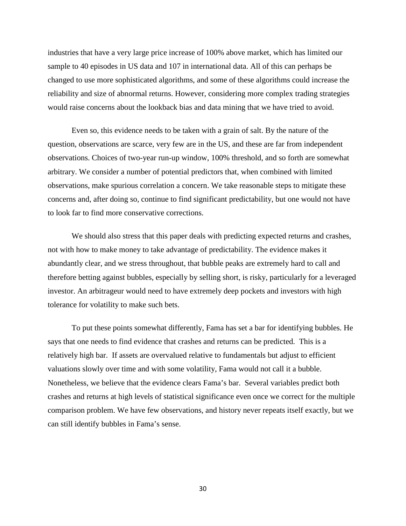industries that have a very large price increase of 100% above market, which has limited our sample to 40 episodes in US data and 107 in international data. All of this can perhaps be changed to use more sophisticated algorithms, and some of these algorithms could increase the reliability and size of abnormal returns. However, considering more complex trading strategies would raise concerns about the lookback bias and data mining that we have tried to avoid.

Even so, this evidence needs to be taken with a grain of salt. By the nature of the question, observations are scarce, very few are in the US, and these are far from independent observations. Choices of two-year run-up window, 100% threshold, and so forth are somewhat arbitrary. We consider a number of potential predictors that, when combined with limited observations, make spurious correlation a concern. We take reasonable steps to mitigate these concerns and, after doing so, continue to find significant predictability, but one would not have to look far to find more conservative corrections.

We should also stress that this paper deals with predicting expected returns and crashes, not with how to make money to take advantage of predictability. The evidence makes it abundantly clear, and we stress throughout, that bubble peaks are extremely hard to call and therefore betting against bubbles, especially by selling short, is risky, particularly for a leveraged investor. An arbitrageur would need to have extremely deep pockets and investors with high tolerance for volatility to make such bets.

To put these points somewhat differently, Fama has set a bar for identifying bubbles. He says that one needs to find evidence that crashes and returns can be predicted. This is a relatively high bar. If assets are overvalued relative to fundamentals but adjust to efficient valuations slowly over time and with some volatility, Fama would not call it a bubble. Nonetheless, we believe that the evidence clears Fama's bar. Several variables predict both crashes and returns at high levels of statistical significance even once we correct for the multiple comparison problem. We have few observations, and history never repeats itself exactly, but we can still identify bubbles in Fama's sense.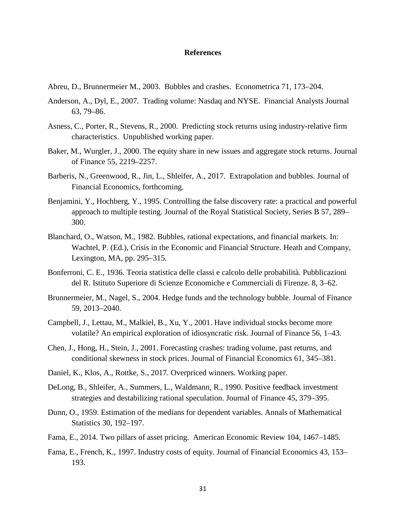#### **References**

- Abreu, D., Brunnermeier M., 2003. Bubbles and crashes. Econometrica 71, 173–204.
- Anderson, A., Dyl, E., 2007. Trading volume: Nasdaq and NYSE. Financial Analysts Journal 63, 79–86.
- Asness, C., Porter, R., Stevens, R., 2000. Predicting stock returns using industry-relative firm characteristics. Unpublished working paper.
- Baker, M., Wurgler, J., 2000. The equity share in new issues and aggregate stock returns. Journal of Finance 55, 2219–2257.
- Barberis, N., Greenwood, R., Jin, L., Shleifer, A., 2017. Extrapolation and bubbles. Journal of Financial Economics, forthcoming.
- Benjamini, Y., Hochberg, Y., 1995. Controlling the false discovery rate: a practical and powerful approach to multiple testing. Journal of the Royal Statistical Society, Series B 57, 289– 300.
- Blanchard, O., Watson, M., 1982. Bubbles, rational expectations, and financial markets. In: Wachtel, P. (Ed.), Crisis in the Economic and Financial Structure. Heath and Company, Lexington, MA, pp. 295–315.
- Bonferroni, C. E., 1936. Teoria statistica delle classi e calcolo delle probabilità. Pubblicazioni del R. Istituto Superiore di Scienze Economiche e Commerciali di Firenze. 8, 3–62.
- Brunnermeier, M., Nagel, S., 2004. Hedge funds and the technology bubble. Journal of Finance 59, 2013–2040.
- Campbell, J., Lettau, M., Malkiel, B., Xu, Y., 2001. Have individual stocks become more volatile? An empirical exploration of idiosyncratic risk. Journal of Finance 56, 1–43.
- Chen, J., Hong, H., Stein, J., 2001. Forecasting crashes: trading volume, past returns, and conditional skewness in stock prices. Journal of Financial Economics 61, 345–381.
- Daniel, K., Klos, A., Rottke, S., 2017. Overpriced winners. Working paper.
- DeLong, B., Shleifer, A., Summers, L., Waldmann, R., 1990. Positive feedback investment strategies and destabilizing rational speculation. Journal of Finance 45, 379–395.
- Dunn, O., 1959. Estimation of the medians for dependent variables. Annals of Mathematical Statistics 30, 192–197.
- Fama, E., 2014. Two pillars of asset pricing. American Economic Review 104, 1467–1485.
- Fama, E., French, K., 1997. Industry costs of equity. Journal of Financial Economics 43, 153– 193.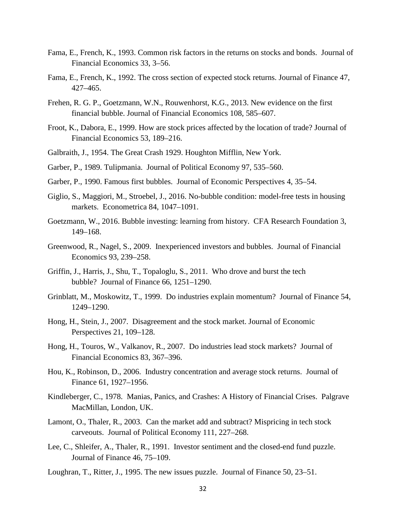- Fama, E., French, K., 1993. Common risk factors in the returns on stocks and bonds. Journal of Financial Economics 33, 3–56.
- Fama, E., French, K., 1992. The cross section of expected stock returns. Journal of Finance 47, 427–465.
- Frehen, R. G. P., Goetzmann, W.N., Rouwenhorst, K.G., 2013. New evidence on the first financial bubble. Journal of Financial Economics 108, 585–607.
- Froot, K., Dabora, E., 1999. How are stock prices affected by the location of trade? Journal of Financial Economics 53, 189–216.
- Galbraith, J., 1954. The Great Crash 1929. Houghton Mifflin, New York.
- Garber, P., 1989. Tulipmania. Journal of Political Economy 97, 535–560.
- Garber, P., 1990. Famous first bubbles. Journal of Economic Perspectives 4, 35–54.
- Giglio, S., Maggiori, M., Stroebel, J., 2016. No-bubble condition: model-free tests in housing markets. Econometrica 84, 1047–1091.
- Goetzmann, W., 2016. Bubble investing: learning from history. CFA Research Foundation 3, 149–168.
- Greenwood, R., Nagel, S., 2009. Inexperienced investors and bubbles. Journal of Financial Economics 93, 239–258.
- Griffin, J., Harris, J., Shu, T., Topaloglu, S., 2011. Who drove and burst the tech bubble? Journal of Finance 66, 1251–1290.
- Grinblatt, M., Moskowitz, T., 1999. Do industries explain momentum? Journal of Finance 54, 1249–1290.
- Hong, H., Stein, J., 2007. Disagreement and the stock market. Journal of Economic Perspectives 21, 109–128.
- Hong, H., Touros, W., Valkanov, R., 2007. Do industries lead stock markets? Journal of Financial Economics 83, 367–396.
- Hou, K., Robinson, D., 2006. Industry concentration and average stock returns. Journal of Finance 61, 1927–1956.
- Kindleberger, C., 1978. Manias, Panics, and Crashes: A History of Financial Crises. Palgrave MacMillan, London, UK.
- Lamont, O., Thaler, R., 2003. Can the market add and subtract? Mispricing in tech stock carveouts. Journal of Political Economy 111, 227–268.
- Lee, C., Shleifer, A., Thaler, R., 1991. Investor sentiment and the closed-end fund puzzle. Journal of Finance 46, 75–109.
- Loughran, T., Ritter, J., 1995. The new issues puzzle. Journal of Finance 50, 23–51.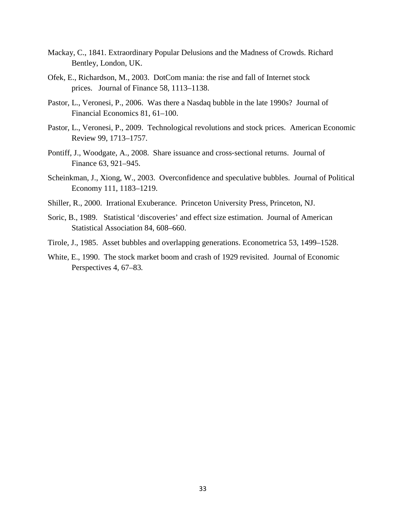- Mackay, C., 1841. Extraordinary Popular Delusions and the Madness of Crowds. Richard Bentley, London, UK.
- Ofek, E., Richardson, M., 2003. DotCom mania: the rise and fall of Internet stock prices. Journal of Finance 58, 1113–1138.
- Pastor, L., Veronesi, P., 2006. Was there a Nasdaq bubble in the late 1990s? Journal of Financial Economics 81, 61–100.
- Pastor, L., Veronesi, P., 2009. Technological revolutions and stock prices. American Economic Review 99, 1713–1757.
- Pontiff, J., Woodgate, A., 2008. Share issuance and cross‐sectional returns. Journal of Finance 63, 921–945.
- Scheinkman, J., Xiong, W., 2003. Overconfidence and speculative bubbles. Journal of Political Economy 111, 1183–1219.
- Shiller, R., 2000. Irrational Exuberance. Princeton University Press, Princeton, NJ.
- Soric, B., 1989. Statistical 'discoveries' and effect size estimation. Journal of American Statistical Association 84, 608–660.
- Tirole, J., 1985. Asset bubbles and overlapping generations. Econometrica 53, 1499–1528.
- White, E., 1990. The stock market boom and crash of 1929 revisited. Journal of Economic Perspectives 4*,* 67–83*.*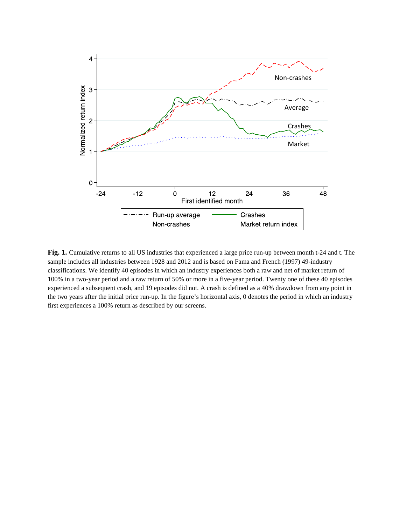

**Fig. 1.** Cumulative returns to all US industries that experienced a large price run-up between month t-24 and t. The sample includes all industries between 1928 and 2012 and is based on Fama and French (1997) 49-industry classifications. We identify 40 episodes in which an industry experiences both a raw and net of market return of 100% in a two-year period and a raw return of 50% or more in a five-year period. Twenty one of these 40 episodes experienced a subsequent crash, and 19 episodes did not. A crash is defined as a 40% drawdown from any point in the two years after the initial price run-up. In the figure's horizontal axis, 0 denotes the period in which an industry first experiences a 100% return as described by our screens.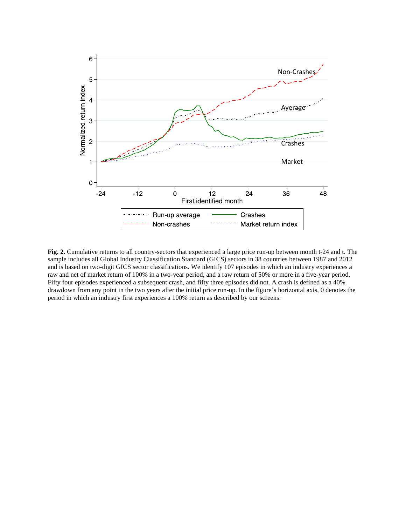

**Fig. 2.** Cumulative returns to all country-sectors that experienced a large price run-up between month t-24 and t. The sample includes all Global Industry Classification Standard (GICS) sectors in 38 countries between 1987 and 2012 and is based on two-digit GICS sector classifications. We identify 107 episodes in which an industry experiences a raw and net of market return of 100% in a two-year period, and a raw return of 50% or more in a five-year period. Fifty four episodes experienced a subsequent crash, and fifty three episodes did not. A crash is defined as a 40% drawdown from any point in the two years after the initial price run-up. In the figure's horizontal axis, 0 denotes the period in which an industry first experiences a 100% return as described by our screens.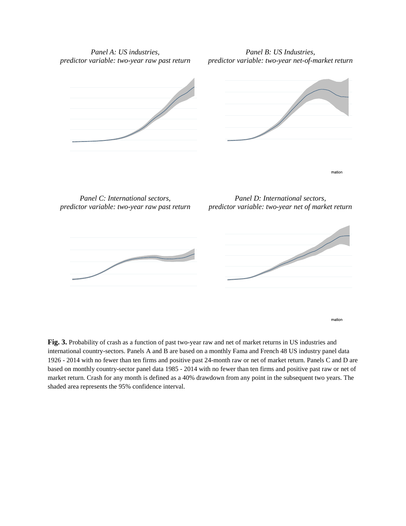*Panel A: US industries, predictor variable: two-year raw past return*

*Panel B: US Industries, predictor variable: two-year net-of-market return*





*Panel C: International sectors, predictor variable: two-year raw past return*

*Panel D: International sectors, predictor variable: two-year net of market return*

mation

mation



**Fig. 3.** Probability of crash as a function of past two-year raw and net of market returns in US industries and international country-sectors. Panels A and B are based on a monthly Fama and French 48 US industry panel data 1926 - 2014 with no fewer than ten firms and positive past 24-month raw or net of market return. Panels C and D are based on monthly country-sector panel data 1985 - 2014 with no fewer than ten firms and positive past raw or net of market return. Crash for any month is defined as a 40% drawdown from any point in the subsequent two years. The shaded area represents the 95% confidence interval.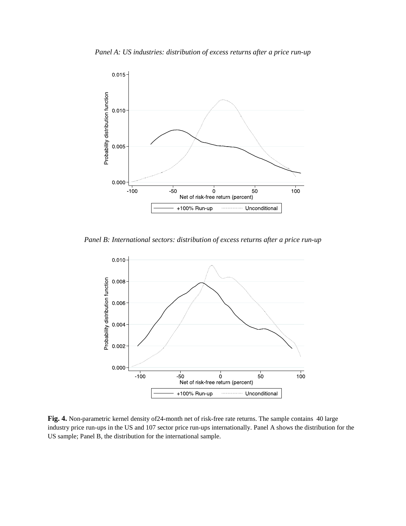

*Panel B: International sectors: distribution of excess returns after a price run-up*



**Fig. 4.** Non-parametric kernel density of24-month net of risk-free rate returns. The sample contains 40 large industry price run-ups in the US and 107 sector price run-ups internationally. Panel A shows the distribution for the US sample; Panel B, the distribution for the international sample.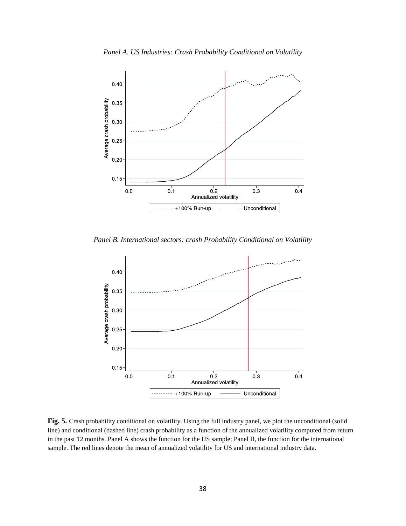

*Panel B. International sectors: crash Probability Conditional on Volatility*



**Fig. 5.** Crash probability conditional on volatility. Using the full industry panel, we plot the unconditional (solid line) and conditional (dashed line) crash probability as a function of the annualized volatility computed from return in the past 12 months. Panel A shows the function for the US sample; Panel B, the function for the international sample. The red lines denote the mean of annualized volatility for US and international industry data.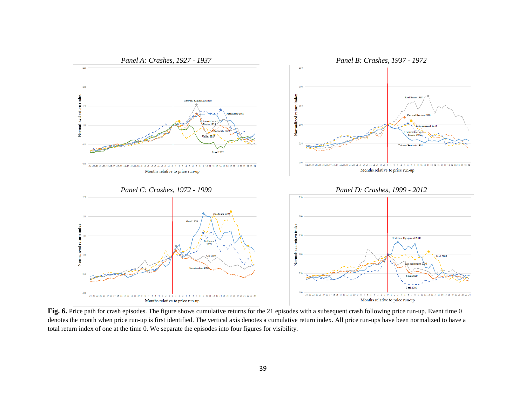

Fig. 6. Price path for crash episodes. The figure shows cumulative returns for the 21 episodes with a subsequent crash following price run-up. Event time 0 denotes the month when price run-up is first identified. The vertical axis denotes a cumulative return index. All price run-ups have been normalized to have a total return index of one at the time 0. We separate the episodes into four figures for visibility.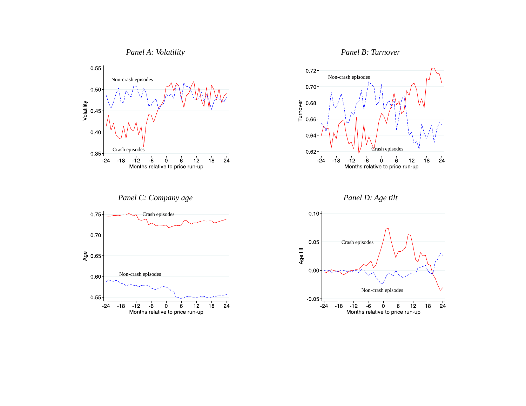





*Panel C: Company age Panel D: Age tilt*





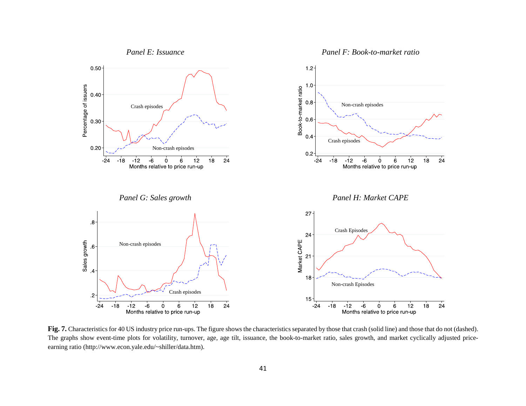

Fig. 7. Characteristics for 40 US industry price run-ups. The figure shows the characteristics separated by those that crash (solid line) and those that do not (dashed). The graphs show event-time plots for volatility, turnover, age, age tilt, issuance, the book-to-market ratio, sales growth, and market cyclically adjusted priceearning ratio (http://www.econ.yale.edu/~shiller/data.htm).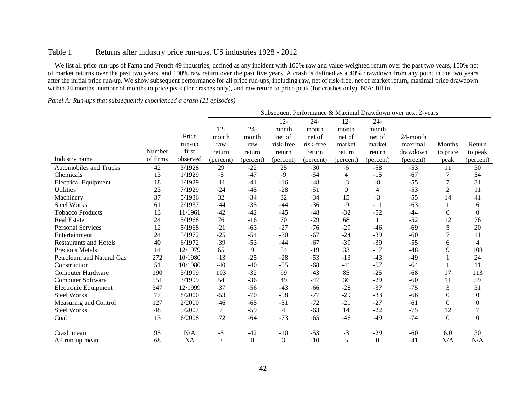### Table 1 Returns after industry price run-ups, US industries 1928 - 2012

We list all price run-ups of Fama and French 49 industries, defined as any incident with 100% raw and value-weighted return over the past two years, 100% net of market returns over the past two years, and 100% raw return over the past five years. A crash is defined as a 40% drawdown from any point in the two years after the initial price run-up. We show subsequent performance for all price run-ups, including raw, net of risk-free, net of market return, maximal price drawdown within 24 months, number of months to price peak (for crashes only), and raw return to price peak (for crashes only). N/A: fill in.

#### *Panel A: Run-ups that subsequently experienced a crash (21 episodes)*

|                               | Subsequent Performance & Maximal Drawdown over next 2-years |           |                  |                  |                |           |           |                |           |                |                  |
|-------------------------------|-------------------------------------------------------------|-----------|------------------|------------------|----------------|-----------|-----------|----------------|-----------|----------------|------------------|
|                               |                                                             |           |                  |                  | $12 -$         | $24 -$    | $12 -$    | $24 -$         |           |                |                  |
|                               |                                                             |           | $12 -$           | $24 -$           | month          | month     | month     | month          |           |                |                  |
|                               |                                                             | Price     | month            | month            | net of         | net of    | net of    | net of         | 24-month  |                |                  |
|                               |                                                             | run-up    | raw              | raw              | risk-free      | risk-free | market    | market         | maximal   | Months         | Return           |
|                               | Number                                                      | first     | return           | return           | return         | return    | return    | return         | drawdown  | to price       | to peak          |
| Industry name                 | of firms                                                    | observed  | (percent)        | (percent)        | (percent)      | (percent) | (percent) | (percent)      | (percent) | peak           | (percent)        |
| <b>Automobiles and Trucks</b> | 42                                                          | 3/1928    | 29               | $-22$            | 25             | $-30$     | $-6$      | $-58$          | $-53$     | 11             | 30               |
| Chemicals                     | 13                                                          | 1/1929    | $-5$             | $-47$            | $-9$           | $-54$     | 4         | $-15$          | $-67$     |                | 54               |
| <b>Electrical Equipment</b>   | 18                                                          | 1/1929    | $-11$            | $-41$            | $-16$          | $-48$     | $-3$      | $-8$           | $-55$     | 7              | 31               |
| <b>Utilities</b>              | 23                                                          | 7/1929    | $-24$            | $-45$            | $-28$          | $-51$     | $\Omega$  | $\overline{4}$ | $-53$     | $\mathfrak{2}$ | 11               |
| Machinery                     | 37                                                          | 5/1936    | 32               | $-34$            | 32             | $-34$     | 15        | $-3$           | $-55$     | 14             | 41               |
| <b>Steel Works</b>            | 61                                                          | 2/1937    | $-44$            | $-35$            | $-44$          | $-36$     | $-9$      | $-11$          | $-63$     |                | 6                |
| <b>Tobacco Products</b>       | 13                                                          | 11/1961   | $-42$            | $-42$            | $-45$          | $-48$     | $-32$     | $-52$          | $-44$     | $\Omega$       | $\boldsymbol{0}$ |
| <b>Real Estate</b>            | 24                                                          | 5/1968    | 76               | $-16$            | 70             | $-29$     | 68        | $\mathbf{1}$   | $-52$     | 12             | 76               |
| <b>Personal Services</b>      | 12                                                          | 5/1968    | $-21$            | $-63$            | $-27$          | $-76$     | $-29$     | $-46$          | $-69$     | 5              | 20               |
| Entertainment                 | 24                                                          | 5/1972    | $-25$            | $-54$            | $-30$          | $-67$     | $-24$     | $-39$          | $-60$     | 7              | 11               |
| <b>Restaurants and Hotels</b> | 40                                                          | 6/1972    | $-39$            | $-53$            | $-44$          | $-67$     | $-39$     | $-39$          | $-55$     | 6              | 4                |
| Precious Metals               | 14                                                          | 12/1979   | 65               | 9                | 54             | $-19$     | 33        | $-17$          | $-48$     | 9              | 108              |
| Petroleum and Natural Gas     | 272                                                         | 10/1980   | $-13$            | $-25$            | $-28$          | $-53$     | $-13$     | $-43$          | $-49$     |                | 24               |
| Construction                  | 51                                                          | 10/1980   | $-40$            | $-40$            | $-55$          | $-68$     | $-41$     | $-57$          | $-64$     |                | 11               |
| <b>Computer Hardware</b>      | 190                                                         | 3/1999    | 103              | $-32$            | 99             | $-43$     | 85        | $-25$          | $-68$     | 17             | 113              |
| <b>Computer Software</b>      | 551                                                         | 3/1999    | 54               | $-36$            | 49             | $-47$     | 36        | $-29$          | $-60$     | 11             | 59               |
| Electronic Equipment          | 347                                                         | 12/1999   | $-37$            | $-56$            | $-43$          | $-66$     | $-28$     | $-37$          | $-75$     | 3              | 31               |
| <b>Steel Works</b>            | 77                                                          | 8/2000    | $-53$            | $-70$            | $-58$          | $-77$     | $-29$     | $-33$          | $-66$     | $\Omega$       | $\theta$         |
| Measuring and Control         | 127                                                         | 2/2000    | $-46$            | $-65$            | $-51$          | $-72$     | $-21$     | $-27$          | $-61$     | $\Omega$       | $\overline{0}$   |
| <b>Steel Works</b>            | 48                                                          | 5/2007    | $\boldsymbol{7}$ | $-59$            | $\overline{4}$ | $-63$     | 14        | $-22$          | $-75$     | 12             | $\overline{7}$   |
| Coal                          | 13                                                          | 6/2008    | $-72$            | $-64$            | $-73$          | $-65$     | $-46$     | $-49$          | $-74$     | $\Omega$       | $\Omega$         |
| Crash mean                    | 95                                                          | N/A       | $-5$             | $-42$            | $-10$          | $-53$     | $-3$      | $-29$          | $-60$     | 6.0            | 30               |
|                               | 68                                                          | <b>NA</b> | 7                | $\boldsymbol{0}$ | 3              | $-10$     | 5         | $\Omega$       | $-41$     | N/A            | N/A              |
| All run-up mean               |                                                             |           |                  |                  |                |           |           |                |           |                |                  |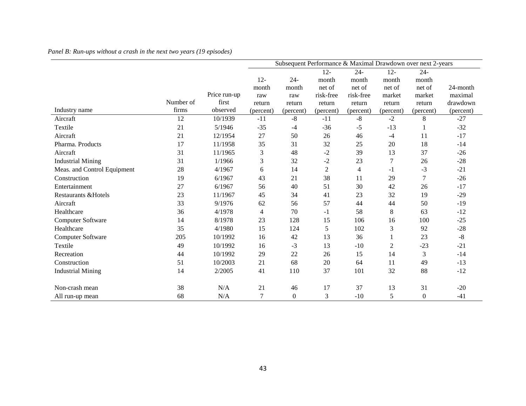|                             | Subsequent Performance & Maximal Drawdown over next 2-years |              |           |                  |                |                |                |                  |           |
|-----------------------------|-------------------------------------------------------------|--------------|-----------|------------------|----------------|----------------|----------------|------------------|-----------|
|                             |                                                             |              |           |                  | $12 -$         | $24 -$         | $12 -$         | $24 -$           |           |
|                             |                                                             |              | $12 -$    | $24 -$           | month          | month          | month          | month            |           |
|                             |                                                             |              | month     | month            | net of         | net of         | net of         | net of           | 24-month  |
|                             |                                                             | Price run-up | raw       | raw              | risk-free      | risk-free      | market         | market           | maximal   |
|                             | Number of                                                   | first        | return    | return           | return         | return         | return         | return           | drawdown  |
| Industry name               | firms                                                       | observed     | (percent) | (percent)        | (percent)      | (percent)      | (percent)      | (percent)        | (percent) |
| Aircraft                    | 12                                                          | 10/1939      | $-11$     | $-8$             | $-11$          | $-8$           | $-2$           | 8                | $-27$     |
| Textile                     | 21                                                          | 5/1946       | $-35$     | $-4$             | $-36$          | $-5$           | $-13$          | 1                | $-32$     |
| Aircraft                    | 21                                                          | 12/1954      | 27        | 50               | 26             | 46             | $-4$           | 11               | $-17$     |
| Pharma. Products            | 17                                                          | 11/1958      | 35        | 31               | 32             | 25             | 20             | 18               | $-14$     |
| Aircraft                    | 31                                                          | 11/1965      | 3         | 48               | $-2$           | 39             | 13             | 37               | $-26$     |
| <b>Industrial Mining</b>    | 31                                                          | 1/1966       | 3         | 32               | $-2$           | 23             | $\overline{7}$ | 26               | $-28$     |
| Meas. and Control Equipment | 28                                                          | 4/1967       | 6         | 14               | $\overline{2}$ | $\overline{4}$ | -1             | $-3$             | $-21$     |
| Construction                | 19                                                          | 6/1967       | 43        | 21               | 38             | 11             | 29             | 7                | $-26$     |
| Entertainment               | 27                                                          | 6/1967       | 56        | 40               | 51             | 30             | 42             | 26               | $-17$     |
| Restaurants & Hotels        | 23                                                          | 11/1967      | 45        | 34               | 41             | 23             | 32             | 19               | $-29$     |
| Aircraft                    | 33                                                          | 9/1976       | 62        | 56               | 57             | 44             | 44             | 50               | $-19$     |
| Healthcare                  | 36                                                          | 4/1978       | 4         | 70               | $-1$           | 58             | 8              | 63               | $-12$     |
| Computer Software           | 14                                                          | 8/1978       | 23        | 128              | 15             | 106            | 16             | 100              | $-25$     |
| Healthcare                  | 35                                                          | 4/1980       | 15        | 124              | 5              | 102            | 3              | 92               | $-28$     |
| <b>Computer Software</b>    | 205                                                         | 10/1992      | 16        | 42               | 13             | 36             | 1              | 23               | $-8$      |
| Textile                     | 49                                                          | 10/1992      | 16        | $-3$             | 13             | $-10$          | $\overline{2}$ | $-23$            | $-21$     |
| Recreation                  | 44                                                          | 10/1992      | 29        | 22               | 26             | 15             | 14             | 3                | $-14$     |
| Construction                | 51                                                          | 10/2003      | 21        | 68               | 20             | 64             | 11             | 49               | $-13$     |
| <b>Industrial Mining</b>    | 14                                                          | 2/2005       | 41        | 110              | 37             | 101            | 32             | 88               | $-12$     |
| Non-crash mean              | 38                                                          | N/A          | 21        | 46               | 17             | 37             | 13             | 31               | $-20$     |
| All run-up mean             | 68                                                          | N/A          | $\tau$    | $\boldsymbol{0}$ | 3              | $-10$          | 5              | $\boldsymbol{0}$ | $-41$     |

### *Panel B: Run-ups without a crash in the next two years (19 episodes)*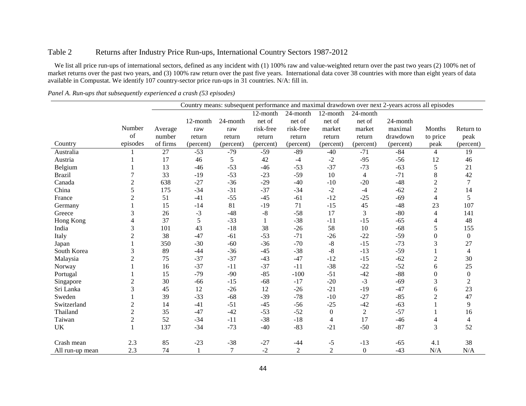### Table 2 Returns after Industry Price Run-ups, International Country Sectors 1987-2012

We list all price run-ups of international sectors, defined as any incident with (1) 100% raw and value-weighted return over the past two years (2) 100% net of market returns over the past two years, and (3) 100% raw return over the past five years. International data cover 38 countries with more than eight years of data available in Compustat. We identify 107 country-sector price run-ups in 31 countries. N/A: fill in.

|                 |                | Country means: subsequent performance and maximal drawdown over next 2-years across all episodes |           |           |           |                |                  |                  |           |                  |                  |
|-----------------|----------------|--------------------------------------------------------------------------------------------------|-----------|-----------|-----------|----------------|------------------|------------------|-----------|------------------|------------------|
|                 |                |                                                                                                  |           |           | 12-month  | 24-month       | 12-month         | 24-month         |           |                  |                  |
|                 |                |                                                                                                  | 12-month  | 24-month  | net of    | net of         | net of           | net of           | 24-month  |                  |                  |
|                 | Number         | Average                                                                                          | raw       | raw       | risk-free | risk-free      | market           | market           | maximal   | Months           | Return to        |
|                 | of             | number                                                                                           | return    | return    | return    | return         | return           | return           | drawdown  | to price         | peak             |
| Country         | episodes       | of firms                                                                                         | (percent) | (percent) | (percent) | (percent)      | (percent)        | (percent)        | (percent) | peak             | (percent)        |
| Australia       |                | 27                                                                                               | $-53$     | $-79$     | $-59$     | $-89$          | $-40$            | $-71$            | $-84$     | 4                | 19               |
| Austria         |                | 17                                                                                               | 46        | 5         | 42        | $-4$           | $-2$             | $-95$            | $-56$     | 12               | 46               |
| Belgium         |                | 13                                                                                               | $-46$     | $-53$     | $-46$     | $-53$          | $-37$            | $-73$            | $-63$     | 5                | 21               |
| <b>Brazil</b>   | $\tau$         | 33                                                                                               | $-19$     | $-53$     | $-23$     | $-59$          | $10\,$           | $\overline{4}$   | $-71$     | $\,8\,$          | 42               |
| Canada          | $\overline{c}$ | 638                                                                                              | $-27$     | $-36$     | $-29$     | $-40$          | $-10$            | $-20$            | $-48$     | $\overline{2}$   | $\overline{7}$   |
| China           | 5              | 175                                                                                              | $-34$     | $-31$     | $-37$     | $-34$          | $-2$             | $-4$             | $-62$     | $\overline{2}$   | 14               |
| France          | $\overline{c}$ | 51                                                                                               | $-41$     | $-55$     | $-45$     | $-61$          | $-12$            | $-25$            | $-69$     | 4                | 5                |
| Germany         |                | 15                                                                                               | $-14$     | 81        | $-19$     | 71             | $-15$            | 45               | $-48$     | 23               | 107              |
| Greece          | 3              | 26                                                                                               | $-3$      | $-48$     | $-8$      | $-58$          | 17               | 3                | $-80$     | 4                | 141              |
| Hong Kong       | 4              | 37                                                                                               | 5         | $-33$     |           | $-38$          | $-11$            | $-15$            | $-65$     | 4                | 48               |
| India           | 3              | 101                                                                                              | 43        | $-18$     | 38        | $-26$          | 58               | 10               | $-68$     | 5                | 155              |
| Italy           | $\overline{c}$ | 38                                                                                               | $-47$     | $-61$     | $-53$     | $-71$          | $-26$            | $-22$            | $-59$     | $\boldsymbol{0}$ | $\boldsymbol{0}$ |
| Japan           | 1              | 350                                                                                              | $-30$     | $-60$     | $-36$     | $-70$          | $-8$             | $-15$            | $-73$     | 3                | 27               |
| South Korea     | 3              | 89                                                                                               | $-44$     | $-36$     | $-45$     | $-38$          | $-8$             | $-13$            | $-59$     |                  | $\overline{4}$   |
| Malaysia        | $\overline{c}$ | 75                                                                                               | $-37$     | $-37$     | $-43$     | $-47$          | $-12$            | $-15$            | $-62$     | $\mathbf{2}$     | 30               |
| Norway          |                | 16                                                                                               | $-37$     | $-11$     | $-37$     | $-11$          | $-38$            | $-22$            | $-52$     | 6                | 25               |
| Portugal        | 1              | 15                                                                                               | $-79$     | $-90$     | $-85$     | $-100$         | $-51$            | $-42$            | $-88$     | $\boldsymbol{0}$ | $\boldsymbol{0}$ |
| Singapore       | $\overline{c}$ | 30                                                                                               | $-66$     | $-15$     | $-68$     | $-17$          | $-20$            | $-3$             | $-69$     | $\mathfrak{Z}$   | $\overline{2}$   |
| Sri Lanka       | $\overline{3}$ | 45                                                                                               | 12        | $-26$     | 12        | $-26$          | $-21$            | $-19$            | $-47$     | 6                | 23               |
| Sweden          |                | 39                                                                                               | $-33$     | $-68$     | $-39$     | $-78$          | $-10$            | $-27$            | $-85$     | $\overline{c}$   | 47               |
| Switzerland     | $\mathbf{2}$   | 14                                                                                               | $-41$     | $-51$     | $-45$     | $-56$          | $-25$            | $-42$            | $-63$     |                  | 9                |
| Thailand        | $\overline{2}$ | 35                                                                                               | $-47$     | $-42$     | $-53$     | $-52$          | $\boldsymbol{0}$ | $\overline{2}$   | $-57$     |                  | 16               |
| Taiwan          | $\overline{c}$ | 52                                                                                               | $-34$     | $-11$     | $-38$     | $-18$          | 4                | 17               | $-46$     | 4                | $\overline{4}$   |
| UK              |                | 137                                                                                              | $-34$     | $-73$     | $-40$     | $-83$          | $-21$            | $-50$            | $-87$     | 3                | 52               |
|                 |                |                                                                                                  |           |           |           |                |                  |                  |           |                  |                  |
| Crash mean      | 2.3            | 85                                                                                               | $-23$     | $-38$     | $-27$     | $-44$          | $-5$             | $-13$            | $-65$     | 4.1              | 38               |
| All run-up mean | 2.3            | 74                                                                                               | 1         | 7         | $-2$      | $\overline{2}$ | $\overline{c}$   | $\boldsymbol{0}$ | $-43$     | N/A              | N/A              |

*Panel A. Run-ups that subsequently experienced a crash (53 episodes)*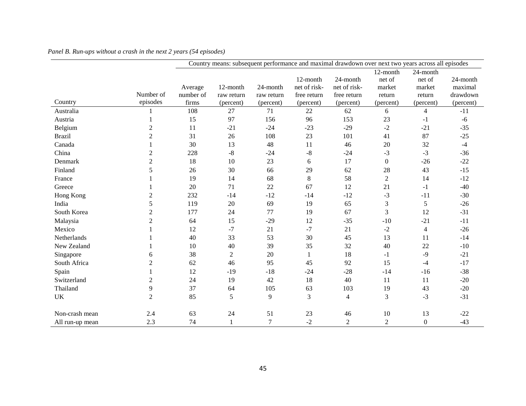|                 |                | Country means: subsequent performance and maximal drawdown over next two years across all episodes |                        |                        |                             |                             |                    |                          |                     |  |
|-----------------|----------------|----------------------------------------------------------------------------------------------------|------------------------|------------------------|-----------------------------|-----------------------------|--------------------|--------------------------|---------------------|--|
|                 |                |                                                                                                    |                        |                        | 12-month                    | 24-month                    | 12-month<br>net of | 24-month<br>net of       | 24-month            |  |
|                 | Number of      | Average<br>number of                                                                               | 12-month<br>raw return | 24-month<br>raw return | net of risk-<br>free return | net of risk-<br>free return | market<br>return   | market<br>return         | maximal<br>drawdown |  |
| Country         | episodes       | firms                                                                                              | (percent)              | (percent)              | (percent)                   | (percent)                   | (percent)          | (percent)                | (percent)           |  |
| Australia       |                | 108                                                                                                | 27                     | 71                     | 22                          | 62                          | 6                  | $\overline{4}$           | $-11$               |  |
| Austria         |                | 15                                                                                                 | 97                     | 156                    | 96                          | 153                         | 23                 | $-1$                     | $-6$                |  |
| Belgium         | $\overline{c}$ | 11                                                                                                 | $-21$                  | $-24$                  | $-23$                       | $-29$                       | $-2$               | $-21$                    | $-35$               |  |
| <b>Brazil</b>   | 2              | 31                                                                                                 | 26                     | 108                    | 23                          | 101                         | 41                 | 87                       | $-25$               |  |
| Canada          |                | 30                                                                                                 | 13                     | 48                     | 11                          | 46                          | 20                 | 32                       | $-4$                |  |
| China           | 2              | 228                                                                                                | $-8$                   | $-24$                  | $-8$                        | $-24$                       | $-3$               | $-3$                     | $-36$               |  |
| Denmark         | 2              | 18                                                                                                 | 10                     | 23                     | 6                           | 17                          | $\boldsymbol{0}$   | $-26$                    | $-22$               |  |
| Finland         | 5              | 26                                                                                                 | 30                     | 66                     | 29                          | 62                          | 28                 | 43                       | $-15$               |  |
| France          |                | 19                                                                                                 | 14                     | 68                     | $\,8\,$                     | 58                          | $\overline{2}$     | 14                       | $-12$               |  |
| Greece          |                | 20                                                                                                 | 71                     | 22                     | 67                          | 12                          | 21                 | $-1$                     | $-40$               |  |
| Hong Kong       | 2              | 232                                                                                                | $-14$                  | $-12$                  | $-14$                       | $-12$                       | $-3$               | $-11$                    | $-30$               |  |
| India           | 5              | 119                                                                                                | 20                     | 69                     | 19                          | 65                          | $\mathfrak{Z}$     | 5                        | $-26$               |  |
| South Korea     | $\overline{c}$ | 177                                                                                                | 24                     | 77                     | 19                          | 67                          | 3                  | 12                       | $-31$               |  |
| Malaysia        | $\overline{c}$ | 64                                                                                                 | 15                     | $-29$                  | 12                          | $-35$                       | $-10$              | $-21$                    | $-11$               |  |
| Mexico          |                | 12                                                                                                 | $-7$                   | 21                     | $-7$                        | 21                          | $-2$               | $\overline{\mathcal{L}}$ | $-26$               |  |
| Netherlands     |                | 40                                                                                                 | 33                     | 53                     | 30                          | 45                          | 13                 | 11                       | $-14$               |  |
| New Zealand     |                | 10                                                                                                 | 40                     | 39                     | 35                          | 32                          | 40                 | 22                       | $-10$               |  |
| Singapore       | 6              | 38                                                                                                 | $\overline{2}$         | 20                     | $\mathbf{1}$                | 18                          | $-1$               | $-9$                     | $-21$               |  |
| South Africa    | $\overline{c}$ | 62                                                                                                 | 46                     | 95                     | 45                          | 92                          | 15                 | $-4$                     | $-17$               |  |
| Spain           |                | 12                                                                                                 | $-19$                  | $-18$                  | $-24$                       | $-28$                       | $-14$              | $-16$                    | $-38$               |  |
| Switzerland     | $\overline{c}$ | 24                                                                                                 | 19                     | 42                     | 18                          | 40                          | 11                 | 11                       | $-20$               |  |
| Thailand        | 9              | 37                                                                                                 | 64                     | 105                    | 63                          | 103                         | 19                 | 43                       | $-20$               |  |
| <b>UK</b>       | $\overline{2}$ | 85                                                                                                 | 5                      | 9                      | 3                           | $\overline{4}$              | 3                  | $-3$                     | $-31$               |  |
| Non-crash mean  | 2.4            | 63                                                                                                 | 24                     | 51                     | 23                          | 46                          | 10                 | 13                       | $-22$               |  |
| All run-up mean | 2.3            | 74                                                                                                 | 1                      | 7                      | $-2$                        | 2                           | $\overline{2}$     | $\overline{0}$           | $-43$               |  |

### *Panel B. Run-ups without a crash in the next 2 years (54 episodes)*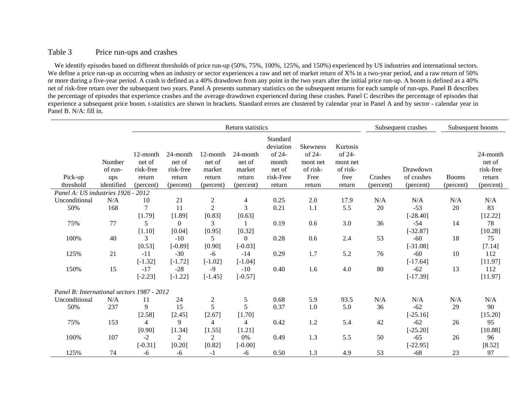### Table 3 Price run-ups and crashes

We identify episodes based on different thresholds of price run-up (50%, 75%, 100%, 125%, and 150%) experienced by US industries and international sectors. We define a price run-up as occurring when an industry or sector experiences a raw and net of market return of X% in a two-year period, and a raw return of 50% or more during a five-year period. A crash is defined as a 40% drawdown from any point in the two years after the initial price run-up. A boom is defined as a 40% net of risk-free return over the subsequent two years. Panel A presents summary statistics on the subsequent returns for each sample of run-ups. Panel B describes the percentage of episodes that experience crashes and the average drawdown experienced during these crashes. Panel C describes the percentage of episodes that experience a subsequent price boom. t-statistics are shown in brackets. Standard errors are clustered by calendar year in Panel A and by sector - calendar year in Panel B. N/A: fill in.

|                                            |                                        |                                                        |                                                        |                                                     | Return statistics                                   |                                                                           |                                                                     |                                                              | Subsequent crashes   |                                     | Subsequent booms          |                                                        |  |
|--------------------------------------------|----------------------------------------|--------------------------------------------------------|--------------------------------------------------------|-----------------------------------------------------|-----------------------------------------------------|---------------------------------------------------------------------------|---------------------------------------------------------------------|--------------------------------------------------------------|----------------------|-------------------------------------|---------------------------|--------------------------------------------------------|--|
| Pick-up<br>threshold                       | Number<br>of run-<br>ups<br>identified | 12-month<br>net of<br>risk-free<br>return<br>(percent) | 24-month<br>net of<br>risk-free<br>return<br>(percent) | 12-month<br>net of<br>market<br>return<br>(percent) | 24-month<br>net of<br>market<br>return<br>(percent) | Standard<br>deviation<br>of 24-<br>month<br>net of<br>risk-Free<br>return | <b>Skewness</b><br>of 24-<br>mont net<br>of risk-<br>Free<br>return | Kurtosis<br>of 24-<br>mont net<br>of risk-<br>free<br>return | Crashes<br>(percent) | Drawdown<br>of crashes<br>(percent) | <b>Booms</b><br>(percent) | 24-month<br>net of<br>risk-free<br>return<br>(percent) |  |
| Panel A: US industries 1926 - 2012         |                                        |                                                        |                                                        |                                                     |                                                     |                                                                           |                                                                     |                                                              |                      |                                     |                           |                                                        |  |
| Unconditional                              | N/A                                    | 10                                                     | 21                                                     | $\mathbf{2}$                                        | 4                                                   | 0.25                                                                      | 2.0                                                                 | 17.9                                                         | N/A                  | N/A                                 | N/A                       | N/A                                                    |  |
| 50%                                        | 168                                    | 7<br>[1.79]                                            | 11<br>[1.89]                                           | $\overline{2}$<br>[0.83]                            | 3<br>[0.63]                                         | 0.21                                                                      | 1.1                                                                 | 5.5                                                          | 20                   | $-53$<br>$[-28.40]$                 | 20                        | 83<br>[12.22]                                          |  |
| 75%                                        | 77                                     | 5<br>[1.10]                                            | $\Omega$<br>[0.04]                                     | 3<br>[0.95]                                         | [0.32]                                              | 0.19                                                                      | 0.6                                                                 | 3.0                                                          | 36                   | $-54$<br>$[-32.87]$                 | 14                        | 78<br>[10.28]                                          |  |
| 100%                                       | 40                                     | 3<br>[0.53]                                            | $-10$<br>$[-0.89]$                                     | 5<br>[0.90]                                         | $\Omega$<br>$[-0.03]$                               | 0.28                                                                      | 0.6                                                                 | 2.4                                                          | 53                   | $-60$<br>$[-31.08]$                 | 18                        | 75<br>[7.14]                                           |  |
| 125%                                       | 21                                     | $-11$<br>$[-1.32]$                                     | $-30$<br>$[-1.72]$                                     | -6<br>$[-1.02]$                                     | $-14$<br>$[-1.04]$                                  | 0.29                                                                      | 1.7                                                                 | 5.2                                                          | 76                   | $-60$<br>$[-17.64]$                 | 10                        | 112<br>[11.97]                                         |  |
| 150%                                       | 15                                     | $-17$<br>$[-2.23]$                                     | $-28$<br>$[-1.22]$                                     | $-9$<br>$[-1.45]$                                   | $-10$<br>$[-0.57]$                                  | 0.40                                                                      | 1.6                                                                 | 4.0                                                          | 80                   | $-62$<br>$[-17.39]$                 | 13                        | 112<br>[11.97]                                         |  |
| Panel B: International sectors 1987 - 2012 |                                        |                                                        |                                                        |                                                     |                                                     |                                                                           |                                                                     |                                                              |                      |                                     |                           |                                                        |  |
| Unconditional                              | N/A                                    | 11                                                     | 24                                                     | $\boldsymbol{2}$                                    | 5                                                   | 0.68                                                                      | 5.9                                                                 | 93.5                                                         | N/A                  | N/A                                 | N/A                       | N/A                                                    |  |
| 50%                                        | 237                                    | 9<br>[2.58]                                            | 15<br>[2.45]                                           | 5<br>[2.67]                                         | 5<br>[1.70]                                         | 0.37                                                                      | 1.0                                                                 | 5.0                                                          | 36                   | $-62$<br>$[-25.16]$                 | 29                        | 90<br>[15.20]                                          |  |
| 75%                                        | 153                                    | $\overline{4}$<br>[0.90]                               | 9<br>[1.34]                                            | $\overline{4}$<br>[1.55]                            | 4<br>$[1.21]$                                       | 0.42                                                                      | 1.2                                                                 | 5.4                                                          | 42                   | $-62$<br>$[-25.20]$                 | 26                        | 95<br>[10.88]                                          |  |
| 100%                                       | 107                                    | $-2$<br>$[-0.31]$                                      | 2<br>[0.20]                                            | 2<br>[0.82]                                         | 0%<br>$[-0.00]$                                     | 0.49                                                                      | 1.3                                                                 | 5.5                                                          | 50                   | $-65$<br>$[-22.95]$                 | 26                        | 96<br>[8.52]                                           |  |
| 125%                                       | 74                                     | $-6$                                                   | -6                                                     | $-1$                                                | $-6$                                                | 0.50                                                                      | 1.3                                                                 | 4.9                                                          | 53                   | $-68$                               | 23                        | 97                                                     |  |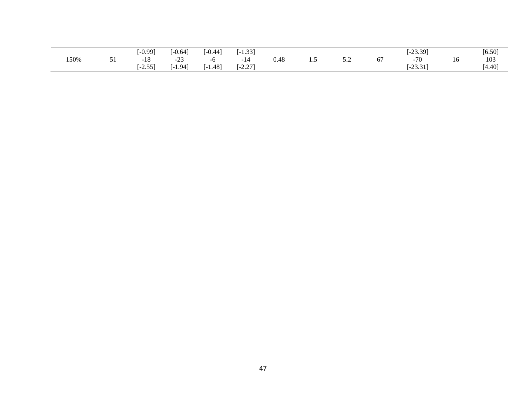|      |          | $-0.99]$    | $\bigcap$ $\bigcap$<br>-0.64 | $-0.44$         | 1.221<br>53. L  |      |                                                             |                      | $-23.39$<br>ر ر. ر. به      |    | [6.50] |
|------|----------|-------------|------------------------------|-----------------|-----------------|------|-------------------------------------------------------------|----------------------|-----------------------------|----|--------|
| 150% | $\sim$ 1 | 10<br>$-10$ | $\bigcap$<br>م کے س          |                 | ∙ 1 4           | 0.48 | <br>$\boldsymbol{\mathcal{S}}$ . $\boldsymbol{\mathcal{L}}$ | --<br>$\mathbf{o}$ , | $-70$                       | 10 | 103    |
|      |          | $-2.55$ ]   | $1.94$ <sup>1</sup>          | $1.48$ ]<br>- 1 | 2.271<br>$-2.4$ |      |                                                             |                      | 22.21<br>. .<br><i>__</i> . |    | [4.40] |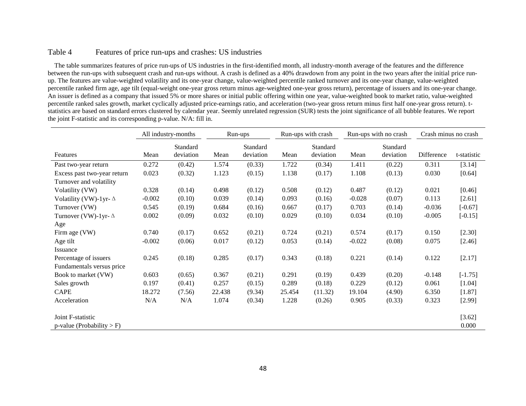### Table 4 Features of price run-ups and crashes: US industries

 The table summarizes features of price run-ups of US industries in the first-identified month, all industry-month average of the features and the difference between the run-ups with subsequent crash and run-ups without. A crash is defined as a 40% drawdown from any point in the two years after the initial price runup. The features are value-weighted volatility and its one-year change, value-weighted percentile ranked turnover and its one-year change, value-weighted percentile ranked firm age, age tilt (equal-weight one-year gross return minus age-weighted one-year gross return), percentage of issuers and its one-year change. An issuer is defined as a company that issued 5% or more shares or initial public offering within one year, value-weighted book to market ratio, value-weighted percentile ranked sales growth, market cyclically adjusted price-earnings ratio, and acceleration (two-year gross return minus first half one-year gross return). tstatistics are based on standard errors clustered by calendar year. Seemly unrelated regression (SUR) tests the joint significance of all bubble features. We report the joint F-statistic and its corresponding p-value. N/A: fill in.

|                               |          | All industry-months   |        | Run-ups with crash<br>Run-ups |        | Run-ups with no crash |          | Crash minus no crash  |            |             |
|-------------------------------|----------|-----------------------|--------|-------------------------------|--------|-----------------------|----------|-----------------------|------------|-------------|
| Features                      | Mean     | Standard<br>deviation | Mean   | Standard<br>deviation         | Mean   | Standard<br>deviation | Mean     | Standard<br>deviation | Difference | t-statistic |
| Past two-year return          | 0.272    | (0.42)                | 1.574  | (0.33)                        | 1.722  | (0.34)                | 1.411    | (0.22)                | 0.311      | [3.14]      |
| Excess past two-year return   | 0.023    | (0.32)                | 1.123  | (0.15)                        | 1.138  | (0.17)                | 1.108    | (0.13)                | 0.030      | [0.64]      |
| Turnover and volatility       |          |                       |        |                               |        |                       |          |                       |            |             |
| Volatility (VW)               | 0.328    | (0.14)                | 0.498  | (0.12)                        | 0.508  | (0.12)                | 0.487    | (0.12)                | 0.021      | [0.46]      |
| Volatility (VW)-1yr- $\Delta$ | $-0.002$ | (0.10)                | 0.039  | (0.14)                        | 0.093  | (0.16)                | $-0.028$ | (0.07)                | 0.113      | [2.61]      |
| Turnover (VW)                 | 0.545    | (0.19)                | 0.684  | (0.16)                        | 0.667  | (0.17)                | 0.703    | (0.14)                | $-0.036$   | $[-0.67]$   |
| Turnover (VW)-1yr- $\Delta$   | 0.002    | (0.09)                | 0.032  | (0.10)                        | 0.029  | (0.10)                | 0.034    | (0.10)                | $-0.005$   | $[-0.15]$   |
| Age                           |          |                       |        |                               |        |                       |          |                       |            |             |
| Firm age (VW)                 | 0.740    | (0.17)                | 0.652  | (0.21)                        | 0.724  | (0.21)                | 0.574    | (0.17)                | 0.150      | [2.30]      |
| Age tilt                      | $-0.002$ | (0.06)                | 0.017  | (0.12)                        | 0.053  | (0.14)                | $-0.022$ | (0.08)                | 0.075      | [2.46]      |
| Issuance                      |          |                       |        |                               |        |                       |          |                       |            |             |
| Percentage of issuers         | 0.245    | (0.18)                | 0.285  | (0.17)                        | 0.343  | (0.18)                | 0.221    | (0.14)                | 0.122      | [2.17]      |
| Fundamentals versus price     |          |                       |        |                               |        |                       |          |                       |            |             |
| Book to market (VW)           | 0.603    | (0.65)                | 0.367  | (0.21)                        | 0.291  | (0.19)                | 0.439    | (0.20)                | $-0.148$   | $[-1.75]$   |
| Sales growth                  | 0.197    | (0.41)                | 0.257  | (0.15)                        | 0.289  | (0.18)                | 0.229    | (0.12)                | 0.061      | [1.04]      |
| <b>CAPE</b>                   | 18.272   | (7.56)                | 22.438 | (9.34)                        | 25.454 | (11.32)               | 19.104   | (4.90)                | 6.350      | $[1.87]$    |
| Acceleration                  | N/A      | N/A                   | 1.074  | (0.34)                        | 1.228  | (0.26)                | 0.905    | (0.33)                | 0.323      | [2.99]      |
| Joint F-statistic             |          |                       |        |                               |        |                       |          |                       |            | [3.62]      |
| p-value (Probability $>$ F)   |          |                       |        |                               |        |                       |          |                       |            | 0.000       |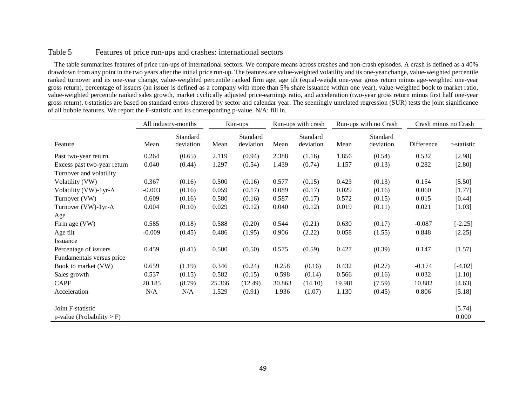### Table 5 Features of price run-ups and crashes: international sectors

 The table summarizes features of price run-ups of international sectors. We compare means across crashes and non-crash episodes. A crash is defined as a 40% drawdown from any point in the two years after the initial price run-up. The features are value-weighted volatility and its one-year change, value-weighted percentile ranked turnover and its one-year change, value-weighted percentile ranked firm age, age tilt (equal-weight one-year gross return minus age-weighted one-year gross return), percentage of issuers (an issuer is defined as a company with more than 5% share issuance within one year), value-weighted book to market ratio, value-weighted percentile ranked sales growth, market cyclically adjusted price-earnings ratio, and acceleration (two-year gross return minus first half one-year gross return). t-statistics are based on standard errors clustered by sector and calendar year. The seemingly unrelated regression (SUR) tests the joint significance of all bubble features. We report the F-statistic and its corresponding p-value. N/A: fill in.

|                               | All industry-months<br>Run-ups |                       |        |                       | Run-ups with crash | Run-ups with no Crash |        |                       | Crash minus no Crash |             |
|-------------------------------|--------------------------------|-----------------------|--------|-----------------------|--------------------|-----------------------|--------|-----------------------|----------------------|-------------|
| Feature                       | Mean                           | Standard<br>deviation | Mean   | Standard<br>deviation | Mean               | Standard<br>deviation | Mean   | Standard<br>deviation | Difference           | t-statistic |
| Past two-year return          | 0.264                          | (0.65)                | 2.119  | (0.94)                | 2.388              | (1.16)                | 1.856  | (0.54)                | 0.532                | [2.98]      |
| Excess past two-year return   | 0.040                          | (0.44)                | 1.297  | (0.54)                | 1.439              | (0.74)                | 1.157  | (0.13)                | 0.282                | [2.80]      |
| Turnover and volatility       |                                |                       |        |                       |                    |                       |        |                       |                      |             |
| Volatility (VW)               | 0.367                          | (0.16)                | 0.500  | (0.16)                | 0.577              | (0.15)                | 0.423  | (0.13)                | 0.154                | [5.50]      |
| Volatility (VW)-1yr- $\Delta$ | $-0.003$                       | (0.16)                | 0.059  | (0.17)                | 0.089              | (0.17)                | 0.029  | (0.16)                | 0.060                | [1.77]      |
| Turnover (VW)                 | 0.609                          | (0.16)                | 0.580  | (0.16)                | 0.587              | (0.17)                | 0.572  | (0.15)                | 0.015                | [0.44]      |
| Turnover (VW)-1yr- $\Delta$   | 0.004                          | (0.10)                | 0.029  | (0.12)                | 0.040              | (0.12)                | 0.019  | (0.11)                | 0.021                | [1.03]      |
| Age                           |                                |                       |        |                       |                    |                       |        |                       |                      |             |
| Firm age (VW)                 | 0.585                          | (0.18)                | 0.588  | (0.20)                | 0.544              | (0.21)                | 0.630  | (0.17)                | $-0.087$             | $[-2.25]$   |
| Age tilt                      | $-0.009$                       | (0.45)                | 0.486  | (1.95)                | 0.906              | (2.22)                | 0.058  | (1.55)                | 0.848                | [2.25]      |
| Issuance                      |                                |                       |        |                       |                    |                       |        |                       |                      |             |
| Percentage of issuers         | 0.459                          | (0.41)                | 0.500  | (0.50)                | 0.575              | (0.59)                | 0.427  | (0.39)                | 0.147                | [1.57]      |
| Fundamentals versus price     |                                |                       |        |                       |                    |                       |        |                       |                      |             |
| Book to market (VW)           | 0.659                          | (1.19)                | 0.346  | (0.24)                | 0.258              | (0.16)                | 0.432  | (0.27)                | $-0.174$             | $[-4.02]$   |
| Sales growth                  | 0.537                          | (0.15)                | 0.582  | (0.15)                | 0.598              | (0.14)                | 0.566  | (0.16)                | 0.032                | $[1.10]$    |
| <b>CAPE</b>                   | 20.185                         | (8.79)                | 25.366 | (12.49)               | 30.863             | (14.10)               | 19.981 | (7.59)                | 10.882               | [4.63]      |
| Acceleration                  | N/A                            | N/A                   | 1.529  | (0.91)                | 1.936              | (1.07)                | 1.130  | (0.45)                | 0.806                | [5.18]      |
| Joint F-statistic             |                                |                       |        |                       |                    |                       |        |                       |                      | [5.74]      |
| $p$ -value (Probability > F)  |                                |                       |        |                       |                    |                       |        |                       |                      | 0.000       |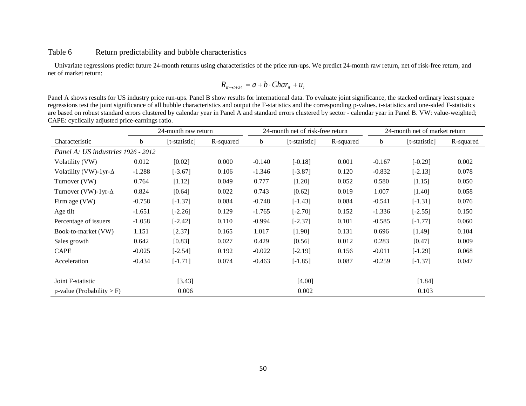#### Table 6 Return predictability and bubble characteristics

 Univariate regressions predict future 24-month returns using characteristics of the price run-ups. We predict 24-month raw return, net of risk-free return, and net of market return:

$$
R_{it \to t+24} = a + b \cdot Char_{it} + u_i
$$

Panel A shows results for US industry price run-ups. Panel B show results for international data. To evaluate joint significance, the stacked ordinary least square regressions test the joint significance of all bubble characteristics and output the F-statistics and the corresponding p-values. t-statistics and one-sided F-statistics are based on robust standard errors clustered by calendar year in Panel A and standard errors clustered by sector - calendar year in Panel B. VW: value-weighted; CAPE: cyclically adjusted price-earnings ratio.

|                                    |          | 24-month raw return |           |          | 24-month net of risk-free return |           | 24-month net of market return |               |           |
|------------------------------------|----------|---------------------|-----------|----------|----------------------------------|-----------|-------------------------------|---------------|-----------|
| Characteristic                     | b        | [t-statistic]       | R-squared | b        | [t-statistic]                    | R-squared | b                             | [t-statistic] | R-squared |
| Panel A: US industries 1926 - 2012 |          |                     |           |          |                                  |           |                               |               |           |
| Volatility (VW)                    | 0.012    | [0.02]              | 0.000     | $-0.140$ | $[-0.18]$                        | 0.001     | $-0.167$                      | $[-0.29]$     | 0.002     |
| Volatility (VW)-1yr- $\Delta$      | $-1.288$ | $[-3.67]$           | 0.106     | $-1.346$ | $[-3.87]$                        | 0.120     | $-0.832$                      | $[-2.13]$     | 0.078     |
| Turnover (VW)                      | 0.764    | [1.12]              | 0.049     | 0.777    | $[1.20]$                         | 0.052     | 0.580                         | [1.15]        | 0.050     |
| Turnover (VW)-1yr- $\Delta$        | 0.824    | [0.64]              | 0.022     | 0.743    | [0.62]                           | 0.019     | 1.007                         | [1.40]        | 0.058     |
| Firm age (VW)                      | $-0.758$ | $[-1.37]$           | 0.084     | $-0.748$ | $[-1.43]$                        | 0.084     | $-0.541$                      | $[-1.31]$     | 0.076     |
| Age tilt                           | $-1.651$ | $[-2.26]$           | 0.129     | $-1.765$ | $[-2.70]$                        | 0.152     | $-1.336$                      | $[-2.55]$     | 0.150     |
| Percentage of issuers              | $-1.058$ | $[-2.42]$           | 0.110     | $-0.994$ | $[-2.37]$                        | 0.101     | $-0.585$                      | $[-1.77]$     | 0.060     |
| Book-to-market (VW)                | 1.151    | [2.37]              | 0.165     | 1.017    | [1.90]                           | 0.131     | 0.696                         | [1.49]        | 0.104     |
| Sales growth                       | 0.642    | [0.83]              | 0.027     | 0.429    | [0.56]                           | 0.012     | 0.283                         | [0.47]        | 0.009     |
| <b>CAPE</b>                        | $-0.025$ | $[-2.54]$           | 0.192     | $-0.022$ | $[-2.19]$                        | 0.156     | $-0.011$                      | $[-1.29]$     | 0.068     |
| Acceleration                       | $-0.434$ | $[-1.71]$           | 0.074     | $-0.463$ | $[-1.85]$                        | 0.087     | $-0.259$                      | $[-1.37]$     | 0.047     |
|                                    |          |                     |           |          |                                  |           |                               |               |           |
| Joint F-statistic                  |          | [3.43]              |           |          | [4.00]                           |           |                               | [1.84]        |           |
| $p$ -value (Probability > F)       |          | 0.006               |           |          | 0.002                            |           |                               | 0.103         |           |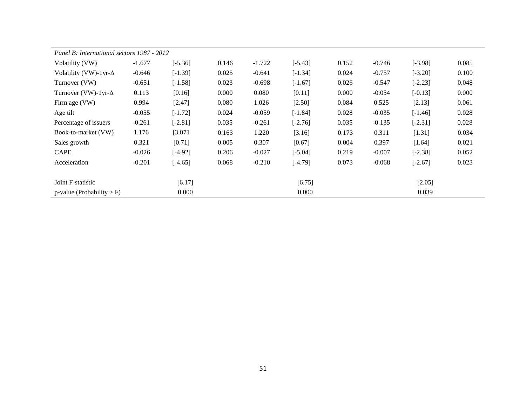| Panel B: International sectors 1987 - 2012 |          |           |       |          |           |       |          |           |       |
|--------------------------------------------|----------|-----------|-------|----------|-----------|-------|----------|-----------|-------|
| Volatility (VW)                            | $-1.677$ | $[-5.36]$ | 0.146 | $-1.722$ | $[-5.43]$ | 0.152 | $-0.746$ | $[-3.98]$ | 0.085 |
| Volatility (VW)-1yr- $\Delta$              | $-0.646$ | $[-1.39]$ | 0.025 | $-0.641$ | $[-1.34]$ | 0.024 | $-0.757$ | $[-3.20]$ | 0.100 |
| Turnover (VW)                              | $-0.651$ | $[-1.58]$ | 0.023 | $-0.698$ | $[-1.67]$ | 0.026 | $-0.547$ | $[-2.23]$ | 0.048 |
| Turnover (VW)-1yr- $\Delta$                | 0.113    | [0.16]    | 0.000 | 0.080    | [0.11]    | 0.000 | $-0.054$ | $[-0.13]$ | 0.000 |
| Firm age (VW)                              | 0.994    | [2.47]    | 0.080 | 1.026    | [2.50]    | 0.084 | 0.525    | [2.13]    | 0.061 |
| Age tilt                                   | $-0.055$ | $[-1.72]$ | 0.024 | $-0.059$ | $[-1.84]$ | 0.028 | $-0.035$ | $[-1.46]$ | 0.028 |
| Percentage of issuers                      | $-0.261$ | $[-2.81]$ | 0.035 | $-0.261$ | $[-2.76]$ | 0.035 | $-0.135$ | $[-2.31]$ | 0.028 |
| Book-to-market (VW)                        | 1.176    | [3.071]   | 0.163 | 1.220    | [3.16]    | 0.173 | 0.311    | [1.31]    | 0.034 |
| Sales growth                               | 0.321    | [0.71]    | 0.005 | 0.307    | [0.67]    | 0.004 | 0.397    | [1.64]    | 0.021 |
| <b>CAPE</b>                                | $-0.026$ | $[-4.92]$ | 0.206 | $-0.027$ | $[-5.04]$ | 0.219 | $-0.007$ | $[-2.38]$ | 0.052 |
| Acceleration                               | $-0.201$ | $[-4.65]$ | 0.068 | $-0.210$ | $[-4.79]$ | 0.073 | $-0.068$ | $[-2.67]$ | 0.023 |
|                                            |          |           |       |          |           |       |          |           |       |
| Joint F-statistic                          |          | [6.17]    |       |          | [6.75]    |       |          | [2.05]    |       |
| $p$ -value (Probability > F)               |          | 0.000     |       |          | 0.000     |       |          | 0.039     |       |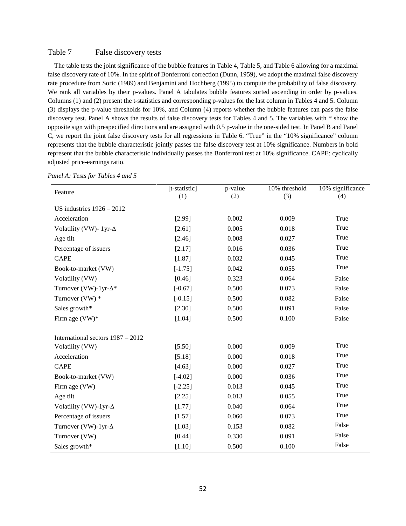#### Table 7 False discovery tests

 The table tests the joint significance of the bubble features in Table 4, Table 5, and Table 6 allowing for a maximal false discovery rate of 10%. In the spirit of Bonferroni correction (Dunn, 1959), we adopt the maximal false discovery rate procedure from Soric (1989) and Benjamini and Hochberg (1995) to compute the probability of false discovery. We rank all variables by their p-values. Panel A tabulates bubble features sorted ascending in order by p-values. Columns (1) and (2) present the t-statistics and corresponding p-values for the last column in Tables 4 and 5. Column (3) displays the p-value thresholds for 10%, and Column (4) reports whether the bubble features can pass the false discovery test. Panel A shows the results of false discovery tests for Tables 4 and 5. The variables with \* show the opposite sign with prespecified directions and are assigned with 0.5 p-value in the one-sided test. In Panel B and Panel C, we report the joint false discovery tests for all regressions in Table 6. "True" in the "10% significance" column represents that the bubble characteristic jointly passes the false discovery test at 10% significance. Numbers in bold represent that the bubble characteristic individually passes the Bonferroni test at 10% significance. CAPE: cyclically adjusted price-earnings ratio.

| Feature                                              | [t-statistic] | p-value | 10% threshold | 10% significance |
|------------------------------------------------------|---------------|---------|---------------|------------------|
|                                                      | (1)           | (2)     | (3)           | (4)              |
| US industries $1926 - 2012$                          |               |         |               |                  |
| Acceleration                                         | [2.99]        | 0.002   | 0.009         | True             |
| Volatility (VW)- 1yr- $\Delta$                       | [2.61]        | 0.005   | 0.018         | True             |
| Age tilt                                             | [2.46]        | 0.008   | 0.027         | True             |
| Percentage of issuers                                | [2.17]        | 0.016   | 0.036         | True             |
| <b>CAPE</b>                                          | [1.87]        | 0.032   | 0.045         | True             |
| Book-to-market (VW)                                  | $[-1.75]$     | 0.042   | 0.055         | True             |
| Volatility (VW)                                      | [0.46]        | 0.323   | 0.064         | False            |
| Turnover (VW)-1yr- $\Delta^*$                        | $[-0.67]$     | 0.500   | 0.073         | False            |
| Turnover $(VW)$ *                                    | $[-0.15]$     | 0.500   | 0.082         | False            |
| Sales growth*                                        | [2.30]        | 0.500   | 0.091         | False            |
| Firm age $(VW)^*$                                    | [1.04]        | 0.500   | 0.100         | False            |
|                                                      |               |         |               |                  |
| International sectors 1987 - 2012<br>Volatility (VW) | [5.50]        | 0.000   | 0.009         | True             |
| Acceleration                                         | [5.18]        | 0.000   | 0.018         | True             |
| <b>CAPE</b>                                          |               |         | 0.027         | True             |
|                                                      | [4.63]        | 0.000   |               | True             |
| Book-to-market (VW)                                  | $[-4.02]$     | 0.000   | 0.036         | True             |
| Firm age (VW)                                        | $[-2.25]$     | 0.013   | 0.045         | True             |
| Age tilt                                             | [2.25]        | 0.013   | 0.055         |                  |
| Volatility (VW)-1yr- $\Delta$                        | [1.77]        | 0.040   | 0.064         | True             |
| Percentage of issuers                                | [1.57]        | 0.060   | 0.073         | True             |
| Turnover (VW)-1yr- $\Delta$                          | [1.03]        | 0.153   | 0.082         | False            |
| Turnover (VW)                                        | [0.44]        | 0.330   | 0.091         | False            |
| Sales growth*                                        | [1.10]        | 0.500   | 0.100         | False            |

*Panel A: Tests for Tables 4 and 5*